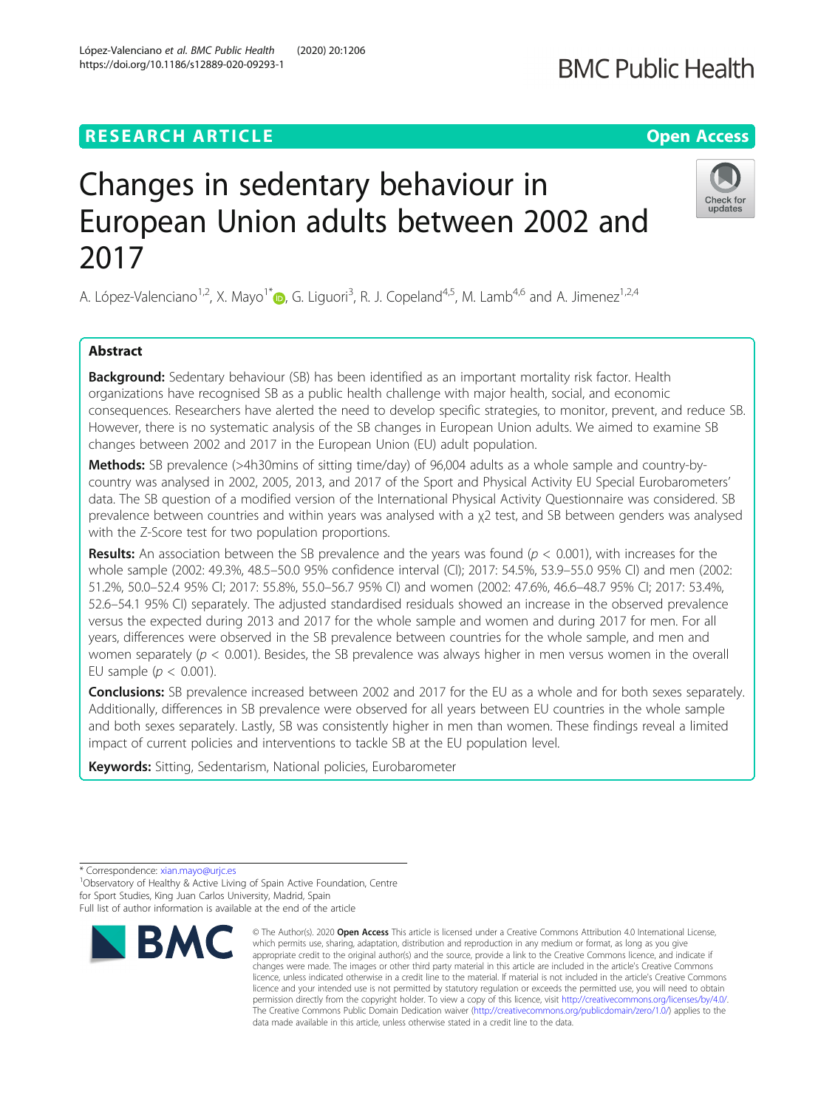# **RESEARCH ARTICLE Example 2014 12:30 The Contract of Contract ACCESS**

# Changes in sedentary behaviour in European Union adults between 2002 and 2017

A. López-Valenciano<sup>1[,](http://orcid.org/0000-0002-4143-701X)2</sup>, X. Mayo<sup>1\*</sup>. G. Liguori<sup>3</sup>, R. J. Copeland<sup>4,5</sup>, M. Lamb<sup>4,6</sup> and A. Jimenez<sup>1,2,4</sup>

# Abstract

**Background:** Sedentary behaviour (SB) has been identified as an important mortality risk factor. Health organizations have recognised SB as a public health challenge with major health, social, and economic consequences. Researchers have alerted the need to develop specific strategies, to monitor, prevent, and reduce SB. However, there is no systematic analysis of the SB changes in European Union adults. We aimed to examine SB changes between 2002 and 2017 in the European Union (EU) adult population.

Methods: SB prevalence (>4h30mins of sitting time/day) of 96,004 adults as a whole sample and country-bycountry was analysed in 2002, 2005, 2013, and 2017 of the Sport and Physical Activity EU Special Eurobarometers' data. The SB question of a modified version of the International Physical Activity Questionnaire was considered. SB prevalence between countries and within years was analysed with a χ2 test, and SB between genders was analysed with the Z-Score test for two population proportions.

**Results:** An association between the SB prevalence and the years was found ( $p < 0.001$ ), with increases for the whole sample (2002: 49.3%, 48.5–50.0 95% confidence interval (CI); 2017: 54.5%, 53.9–55.0 95% CI) and men (2002: 51.2%, 50.0–52.4 95% CI; 2017: 55.8%, 55.0–56.7 95% CI) and women (2002: 47.6%, 46.6–48.7 95% CI; 2017: 53.4%, 52.6–54.1 95% CI) separately. The adjusted standardised residuals showed an increase in the observed prevalence versus the expected during 2013 and 2017 for the whole sample and women and during 2017 for men. For all years, differences were observed in the SB prevalence between countries for the whole sample, and men and women separately ( $p < 0.001$ ). Besides, the SB prevalence was always higher in men versus women in the overall EU sample ( $p < 0.001$ ).

Conclusions: SB prevalence increased between 2002 and 2017 for the EU as a whole and for both sexes separately. Additionally, differences in SB prevalence were observed for all years between EU countries in the whole sample and both sexes separately. Lastly, SB was consistently higher in men than women. These findings reveal a limited impact of current policies and interventions to tackle SB at the EU population level.

Keywords: Sitting, Sedentarism, National policies, Eurobarometer



which permits use, sharing, adaptation, distribution and reproduction in any medium or format, as long as you give appropriate credit to the original author(s) and the source, provide a link to the Creative Commons licence, and indicate if changes were made. The images or other third party material in this article are included in the article's Creative Commons licence, unless indicated otherwise in a credit line to the material. If material is not included in the article's Creative Commons licence and your intended use is not permitted by statutory regulation or exceeds the permitted use, you will need to obtain permission directly from the copyright holder. To view a copy of this licence, visit [http://creativecommons.org/licenses/by/4.0/.](http://creativecommons.org/licenses/by/4.0/) The Creative Commons Public Domain Dedication waiver [\(http://creativecommons.org/publicdomain/zero/1.0/](http://creativecommons.org/publicdomain/zero/1.0/)) applies to the data made available in this article, unless otherwise stated in a credit line to the data.



<sup>\*</sup> Correspondence: [xian.mayo@urjc.es](mailto:xian.mayo@urjc.es) <sup>1</sup>

<sup>&</sup>lt;sup>1</sup>Observatory of Healthy & Active Living of Spain Active Foundation, Centre for Sport Studies, King Juan Carlos University, Madrid, Spain Full list of author information is available at the end of the article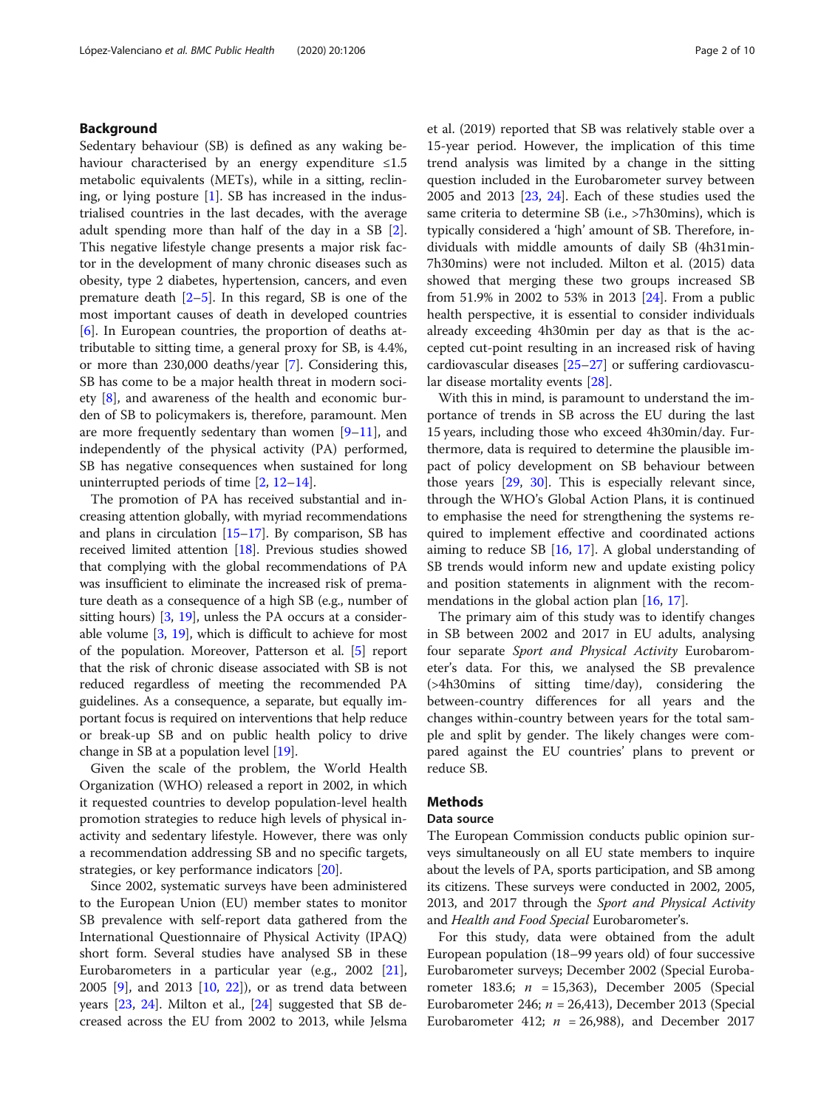# Background

Sedentary behaviour (SB) is defined as any waking behaviour characterised by an energy expenditure  $\leq 1.5$ metabolic equivalents (METs), while in a sitting, reclining, or lying posture [[1\]](#page-8-0). SB has increased in the industrialised countries in the last decades, with the average adult spending more than half of the day in a SB [\[2](#page-8-0)]. This negative lifestyle change presents a major risk factor in the development of many chronic diseases such as obesity, type 2 diabetes, hypertension, cancers, and even premature death  $[2-5]$  $[2-5]$  $[2-5]$  $[2-5]$ . In this regard, SB is one of the most important causes of death in developed countries [[6\]](#page-8-0). In European countries, the proportion of deaths attributable to sitting time, a general proxy for SB, is 4.4%, or more than 230,000 deaths/year [\[7](#page-8-0)]. Considering this, SB has come to be a major health threat in modern society [[8\]](#page-8-0), and awareness of the health and economic burden of SB to policymakers is, therefore, paramount. Men are more frequently sedentary than women  $[9-11]$  $[9-11]$  $[9-11]$  $[9-11]$  $[9-11]$ , and independently of the physical activity (PA) performed, SB has negative consequences when sustained for long uninterrupted periods of time [[2,](#page-8-0) [12](#page-8-0)–[14](#page-8-0)].

The promotion of PA has received substantial and increasing attention globally, with myriad recommendations and plans in circulation [[15](#page-8-0)–[17\]](#page-9-0). By comparison, SB has received limited attention [\[18\]](#page-9-0). Previous studies showed that complying with the global recommendations of PA was insufficient to eliminate the increased risk of premature death as a consequence of a high SB (e.g., number of sitting hours) [\[3,](#page-8-0) [19\]](#page-9-0), unless the PA occurs at a considerable volume  $[3, 19]$  $[3, 19]$  $[3, 19]$  $[3, 19]$ , which is difficult to achieve for most of the population. Moreover, Patterson et al. [\[5](#page-8-0)] report that the risk of chronic disease associated with SB is not reduced regardless of meeting the recommended PA guidelines. As a consequence, a separate, but equally important focus is required on interventions that help reduce or break-up SB and on public health policy to drive change in SB at a population level [[19](#page-9-0)].

Given the scale of the problem, the World Health Organization (WHO) released a report in 2002, in which it requested countries to develop population-level health promotion strategies to reduce high levels of physical inactivity and sedentary lifestyle. However, there was only a recommendation addressing SB and no specific targets, strategies, or key performance indicators [\[20](#page-9-0)].

Since 2002, systematic surveys have been administered to the European Union (EU) member states to monitor SB prevalence with self-report data gathered from the International Questionnaire of Physical Activity (IPAQ) short form. Several studies have analysed SB in these Eurobarometers in a particular year (e.g., 2002 [\[21](#page-9-0)], 2005 [[9\]](#page-8-0), and 2013 [[10,](#page-8-0) [22\]](#page-9-0)), or as trend data between years [[23](#page-9-0), [24](#page-9-0)]. Milton et al., [[24\]](#page-9-0) suggested that SB decreased across the EU from 2002 to 2013, while Jelsma et al. (2019) reported that SB was relatively stable over a 15-year period. However, the implication of this time trend analysis was limited by a change in the sitting question included in the Eurobarometer survey between 2005 and 2013 [\[23](#page-9-0), [24](#page-9-0)]. Each of these studies used the same criteria to determine SB (i.e., >7h30mins), which is typically considered a 'high' amount of SB. Therefore, individuals with middle amounts of daily SB (4h31min-7h30mins) were not included. Milton et al. (2015) data showed that merging these two groups increased SB from 51.9% in 2002 to 53% in 2013 [[24\]](#page-9-0). From a public health perspective, it is essential to consider individuals already exceeding 4h30min per day as that is the accepted cut-point resulting in an increased risk of having cardiovascular diseases [[25](#page-9-0)–[27](#page-9-0)] or suffering cardiovascular disease mortality events [[28\]](#page-9-0).

With this in mind, is paramount to understand the importance of trends in SB across the EU during the last 15 years, including those who exceed 4h30min/day. Furthermore, data is required to determine the plausible impact of policy development on SB behaviour between those years [\[29,](#page-9-0) [30](#page-9-0)]. This is especially relevant since, through the WHO's Global Action Plans, it is continued to emphasise the need for strengthening the systems required to implement effective and coordinated actions aiming to reduce SB [\[16,](#page-8-0) [17](#page-9-0)]. A global understanding of SB trends would inform new and update existing policy and position statements in alignment with the recom-mendations in the global action plan [\[16,](#page-8-0) [17\]](#page-9-0).

The primary aim of this study was to identify changes in SB between 2002 and 2017 in EU adults, analysing four separate Sport and Physical Activity Eurobarometer's data. For this, we analysed the SB prevalence (>4h30mins of sitting time/day), considering the between-country differences for all years and the changes within-country between years for the total sample and split by gender. The likely changes were compared against the EU countries' plans to prevent or reduce SB.

# **Methods**

#### Data source

The European Commission conducts public opinion surveys simultaneously on all EU state members to inquire about the levels of PA, sports participation, and SB among its citizens. These surveys were conducted in 2002, 2005, 2013, and 2017 through the Sport and Physical Activity and Health and Food Special Eurobarometer's.

For this study, data were obtained from the adult European population (18–99 years old) of four successive Eurobarometer surveys; December 2002 (Special Eurobarometer 183.6;  $n = 15,363$ ), December 2005 (Special Eurobarometer 246;  $n = 26,413$ ), December 2013 (Special Eurobarometer 412;  $n = 26,988$ , and December 2017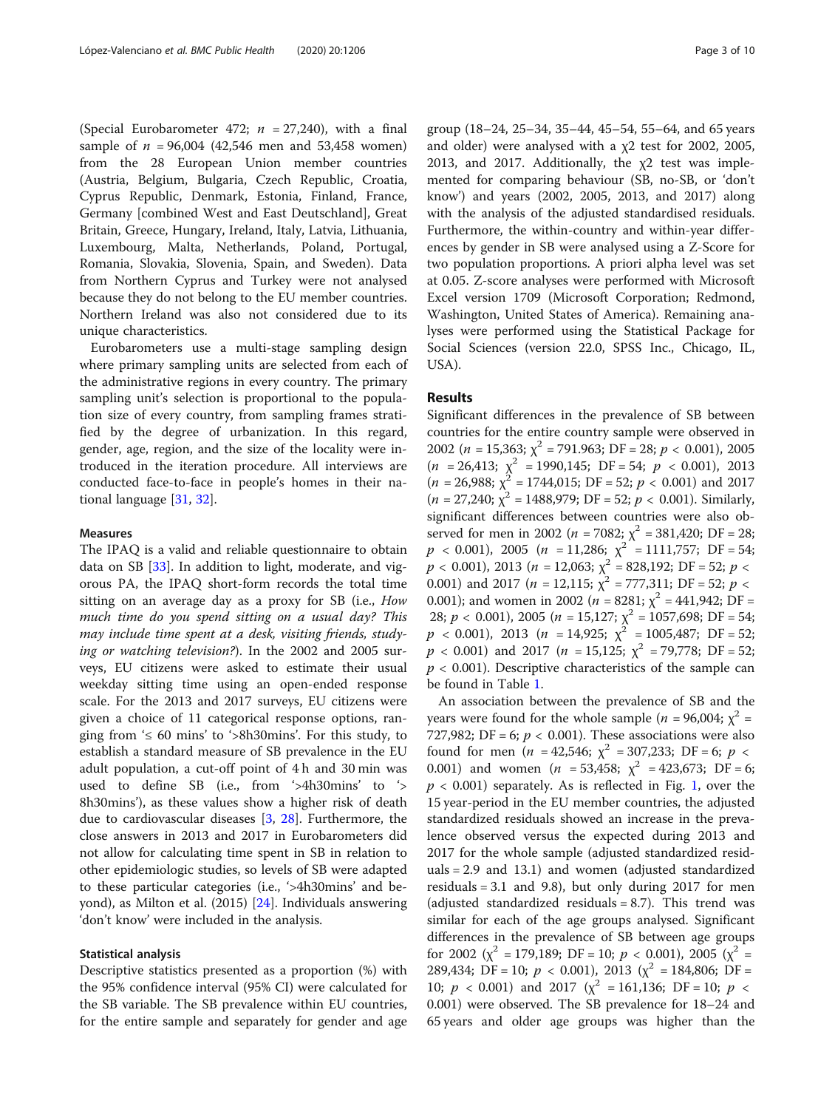(Special Eurobarometer 472;  $n = 27,240$ ), with a final sample of  $n = 96,004$  (42,546 men and 53,458 women) from the 28 European Union member countries (Austria, Belgium, Bulgaria, Czech Republic, Croatia, Cyprus Republic, Denmark, Estonia, Finland, France, Germany [combined West and East Deutschland], Great Britain, Greece, Hungary, Ireland, Italy, Latvia, Lithuania, Luxembourg, Malta, Netherlands, Poland, Portugal, Romania, Slovakia, Slovenia, Spain, and Sweden). Data from Northern Cyprus and Turkey were not analysed because they do not belong to the EU member countries. Northern Ireland was also not considered due to its unique characteristics.

Eurobarometers use a multi-stage sampling design where primary sampling units are selected from each of the administrative regions in every country. The primary sampling unit's selection is proportional to the population size of every country, from sampling frames stratified by the degree of urbanization. In this regard, gender, age, region, and the size of the locality were introduced in the iteration procedure. All interviews are conducted face-to-face in people's homes in their national language [[31,](#page-9-0) [32\]](#page-9-0).

### Measures

The IPAQ is a valid and reliable questionnaire to obtain data on SB [[33\]](#page-9-0). In addition to light, moderate, and vigorous PA, the IPAQ short-form records the total time sitting on an average day as a proxy for SB (i.e., How much time do you spend sitting on a usual day? This may include time spent at a desk, visiting friends, studying or watching television?). In the 2002 and 2005 surveys, EU citizens were asked to estimate their usual weekday sitting time using an open-ended response scale. For the 2013 and 2017 surveys, EU citizens were given a choice of 11 categorical response options, ranging from  $\leq 60$  mins' to  $\geq 8h30$  mins'. For this study, to establish a standard measure of SB prevalence in the EU adult population, a cut-off point of 4 h and 30 min was used to define SB (i.e., from '>4h30mins' to '> 8h30mins'), as these values show a higher risk of death due to cardiovascular diseases [\[3](#page-8-0), [28](#page-9-0)]. Furthermore, the close answers in 2013 and 2017 in Eurobarometers did not allow for calculating time spent in SB in relation to other epidemiologic studies, so levels of SB were adapted to these particular categories (i.e., '>4h30mins' and beyond), as Milton et al. (2015) [\[24\]](#page-9-0). Individuals answering 'don't know' were included in the analysis.

# Statistical analysis

Descriptive statistics presented as a proportion (%) with the 95% confidence interval (95% CI) were calculated for the SB variable. The SB prevalence within EU countries, for the entire sample and separately for gender and age group (18–24, 25–34, 35–44, 45–54, 55–64, and 65 years and older) were analysed with a χ2 test for 2002, 2005, 2013, and 2017. Additionally, the χ2 test was implemented for comparing behaviour (SB, no-SB, or 'don't know') and years (2002, 2005, 2013, and 2017) along with the analysis of the adjusted standardised residuals. Furthermore, the within-country and within-year differences by gender in SB were analysed using a Z-Score for two population proportions. A priori alpha level was set at 0.05. Z-score analyses were performed with Microsoft Excel version 1709 (Microsoft Corporation; Redmond, Washington, United States of America). Remaining analyses were performed using the Statistical Package for Social Sciences (version 22.0, SPSS Inc., Chicago, IL, USA).

# Results

Significant differences in the prevalence of SB between countries for the entire country sample were observed in 2002 ( $n = 15,363$ ;  $\chi^2 = 791.963$ ; DF = 28;  $p < 0.001$ ), 2005  $(n = 26,413; \chi^2 = 1990,145; DF = 54; p < 0.001), 2013$  $(n = 26,988; \chi^2 = 1744,015; \mathrm{DF} = 52; p < 0.001)$  and 2017  $(n = 27,240; \chi^2 = 1488,979; \text{DF} = 52; p < 0.001)$ . Similarly, significant differences between countries were also observed for men in 2002 ( $n = 7082$ ;  $\chi^2 = 381,420$ ; DF = 28;  $p \le 0.001$ ), 2005 ( $n = 11,286$ ;  $\chi^2 = 1111,757$ ; DF = 54;  $p < 0.001$ ), 2013 ( $n = 12,063$ ;  $\chi^2 = 828,192$ ; DF = 52;  $p <$ 0.001) and 2017 ( $n = 12,115$ ;  $\chi^2 = 777,311$ ; DF = 52;  $p <$ 0.001); and women in 2002 ( $n = 8281$ ;  $\chi^2 = 441,942$ ; DF = 28;  $p < 0.001$ ), 2005 ( $n = 15,127$ ;  $\chi^2 = 1057,698$ ; DF = 54;  $p < 0.001$ ), 2013 ( $n = 14,925$ ;  $\chi^2 = 1005,487$ ; DF = 52;  $p < 0.001$ ) and 2017 ( $n = 15,125$ ;  $\chi^2 = 79,778$ ; DF = 52;  $p < 0.001$ ). Descriptive characteristics of the sample can be found in Table [1.](#page-3-0)

An association between the prevalence of SB and the years were found for the whole sample ( $n = 96,004$ ;  $\chi^2 =$ 727,982; DF = 6;  $p < 0.001$ ). These associations were also found for men (*n* = 42,546;  $\chi^2$  = 307,233; DF = 6; *p* < 0.001) and women ( $n = 53,458$ ;  $\chi^2 = 423,673$ ; DF = 6;  $p < 0.001$ ) separately. As is reflected in Fig. [1,](#page-3-0) over the 15 year-period in the EU member countries, the adjusted standardized residuals showed an increase in the prevalence observed versus the expected during 2013 and 2017 for the whole sample (adjusted standardized residuals = 2.9 and 13.1) and women (adjusted standardized residuals = 3.1 and 9.8), but only during 2017 for men (adjusted standardized residuals  $= 8.7$ ). This trend was similar for each of the age groups analysed. Significant differences in the prevalence of SB between age groups for 2002 ( $\chi^2$  = 179,189; DF = 10;  $p < 0.001$ ), 2005 ( $\chi^2$  = 289,434; DF = 10;  $p < 0.001$ ), 2013 ( $\chi^2$  = 184,806; DF = 10;  $p < 0.001$ ) and 2017 ( $\chi^2 = 161,136$ ; DF = 10;  $p <$ 0.001) were observed. The SB prevalence for 18–24 and 65 years and older age groups was higher than the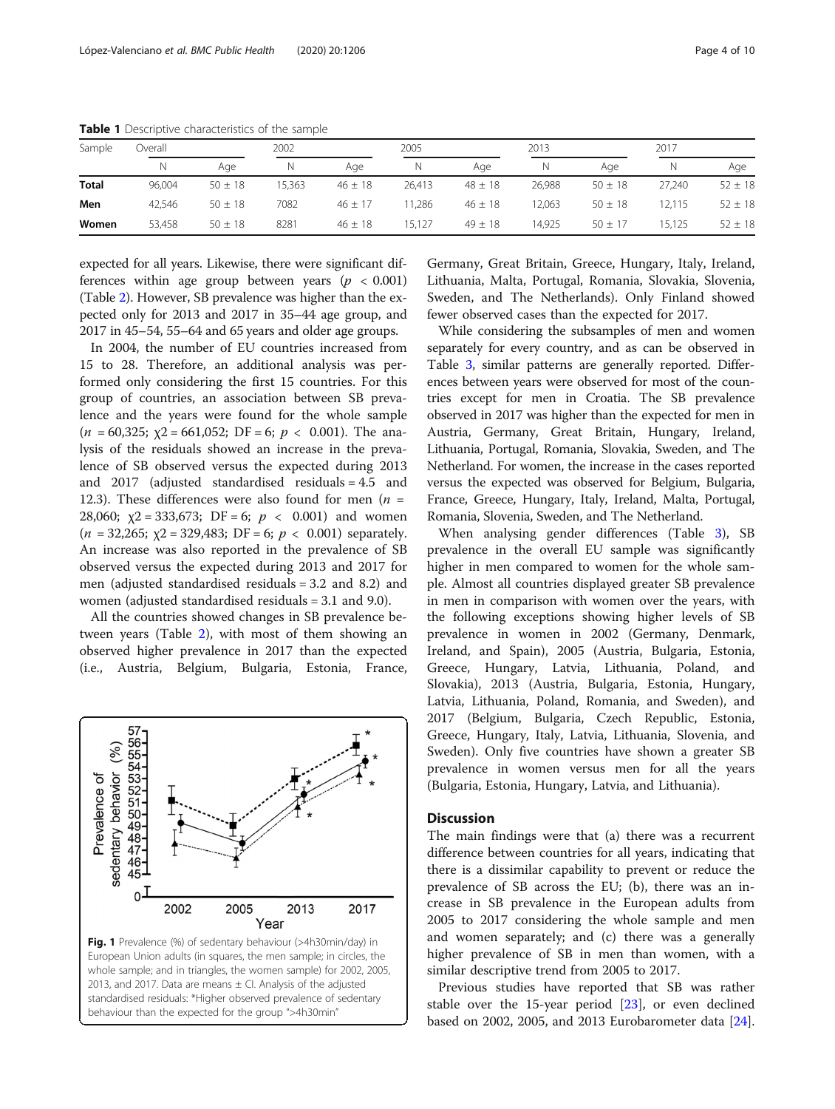| Sample       | .<br>Jverall |             | 2002   |             | 2005   |             | 2013   |             | 2017   |             |
|--------------|--------------|-------------|--------|-------------|--------|-------------|--------|-------------|--------|-------------|
|              | N            | Age         |        | Age         |        | Age         |        | Aqe         |        | Age         |
| <b>Total</b> | 96,004       | $50 \pm 18$ | 15,363 | $46 \pm 18$ | 26,413 | $48 \pm 18$ | 26,988 | $50 \pm 18$ | 27.240 | $52 \pm 18$ |
| Men          | 42.546       | $50 \pm 18$ | 7082   | $46 \pm 17$ | 1.286  | $46 \pm 18$ | 12.063 | $50 \pm 18$ | 12.115 | $52 \pm 18$ |
| Women        | 53,458       | $50 \pm 18$ | 8281   | $46 \pm 18$ | 15.127 | $49 \pm 18$ | 14.925 | $50 \pm 17$ | 15.125 | $52 \pm 18$ |

<span id="page-3-0"></span>Table 1 Descriptive characteristics of the sample

expected for all years. Likewise, there were significant differences within age group between years ( $p < 0.001$ ) (Table [2\)](#page-4-0). However, SB prevalence was higher than the expected only for 2013 and 2017 in 35–44 age group, and 2017 in 45–54, 55–64 and 65 years and older age groups.

In 2004, the number of EU countries increased from 15 to 28. Therefore, an additional analysis was performed only considering the first 15 countries. For this group of countries, an association between SB prevalence and the years were found for the whole sample  $(n = 60,325; y2 = 661,052; DF = 6; p < 0.001)$ . The analysis of the residuals showed an increase in the prevalence of SB observed versus the expected during 2013 and 2017 (adjusted standardised residuals = 4.5 and 12.3). These differences were also found for men ( $n =$ 28,060;  $\chi$ 2 = 333,673; DF = 6;  $p < 0.001$ ) and women  $(n = 32,265; \text{ y2} = 329,483; \text{ DF} = 6; p < 0.001)$  separately. An increase was also reported in the prevalence of SB observed versus the expected during 2013 and 2017 for men (adjusted standardised residuals = 3.2 and 8.2) and women (adjusted standardised residuals = 3.1 and 9.0).

All the countries showed changes in SB prevalence between years (Table [2\)](#page-4-0), with most of them showing an observed higher prevalence in 2017 than the expected (i.e., Austria, Belgium, Bulgaria, Estonia, France,



Germany, Great Britain, Greece, Hungary, Italy, Ireland, Lithuania, Malta, Portugal, Romania, Slovakia, Slovenia, Sweden, and The Netherlands). Only Finland showed fewer observed cases than the expected for 2017.

While considering the subsamples of men and women separately for every country, and as can be observed in Table [3,](#page-5-0) similar patterns are generally reported. Differences between years were observed for most of the countries except for men in Croatia. The SB prevalence observed in 2017 was higher than the expected for men in Austria, Germany, Great Britain, Hungary, Ireland, Lithuania, Portugal, Romania, Slovakia, Sweden, and The Netherland. For women, the increase in the cases reported versus the expected was observed for Belgium, Bulgaria, France, Greece, Hungary, Italy, Ireland, Malta, Portugal, Romania, Slovenia, Sweden, and The Netherland.

When analysing gender differences (Table [3](#page-5-0)), SB prevalence in the overall EU sample was significantly higher in men compared to women for the whole sample. Almost all countries displayed greater SB prevalence in men in comparison with women over the years, with the following exceptions showing higher levels of SB prevalence in women in 2002 (Germany, Denmark, Ireland, and Spain), 2005 (Austria, Bulgaria, Estonia, Greece, Hungary, Latvia, Lithuania, Poland, and Slovakia), 2013 (Austria, Bulgaria, Estonia, Hungary, Latvia, Lithuania, Poland, Romania, and Sweden), and 2017 (Belgium, Bulgaria, Czech Republic, Estonia, Greece, Hungary, Italy, Latvia, Lithuania, Slovenia, and Sweden). Only five countries have shown a greater SB prevalence in women versus men for all the years (Bulgaria, Estonia, Hungary, Latvia, and Lithuania).

#### **Discussion**

The main findings were that (a) there was a recurrent difference between countries for all years, indicating that there is a dissimilar capability to prevent or reduce the prevalence of SB across the EU; (b), there was an increase in SB prevalence in the European adults from 2005 to 2017 considering the whole sample and men and women separately; and (c) there was a generally higher prevalence of SB in men than women, with a similar descriptive trend from 2005 to 2017.

Previous studies have reported that SB was rather stable over the 15-year period [\[23](#page-9-0)], or even declined based on 2002, 2005, and 2013 Eurobarometer data [\[24](#page-9-0)].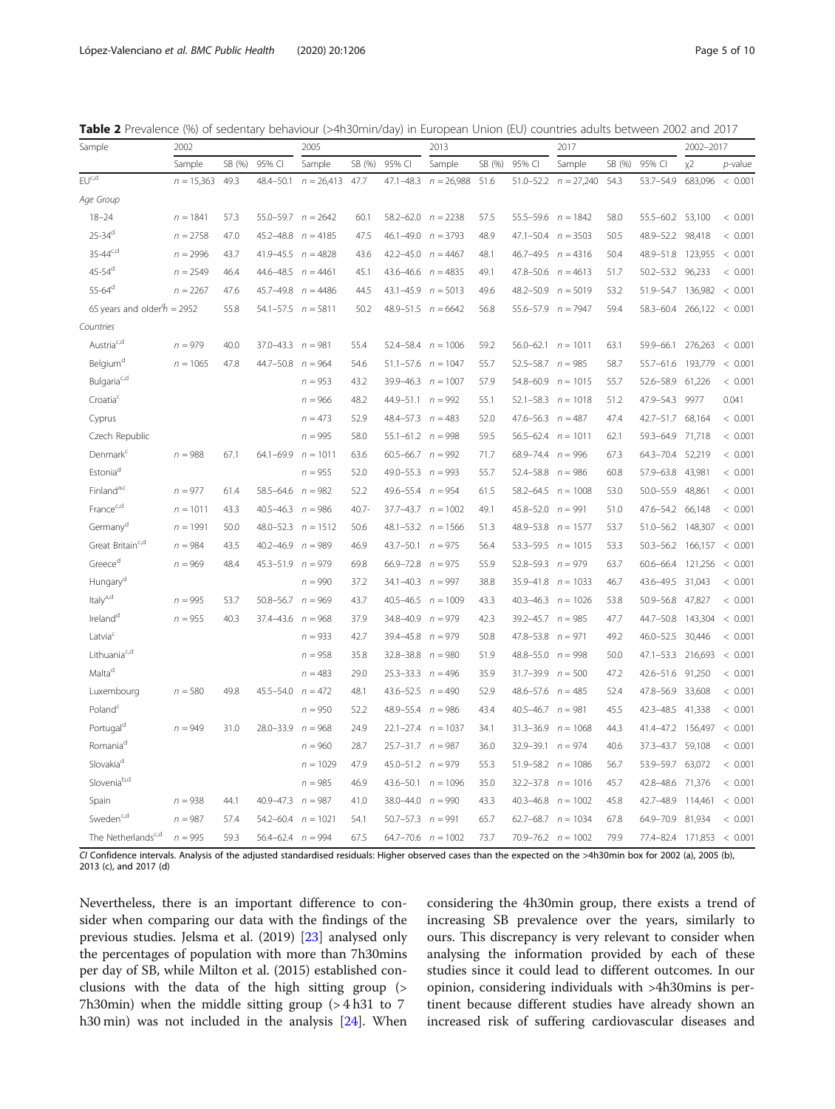<span id="page-4-0"></span>

|  |  |  | Table 2 Prevalence (%) of sedentary behaviour (>4h30min/day) in European Union (EU) countries adults between 2002 and 2017 |
|--|--|--|----------------------------------------------------------------------------------------------------------------------------|
|--|--|--|----------------------------------------------------------------------------------------------------------------------------|

| Sample                            | 2002         |        |                         | 2005                     |          |                          | 2013         |        |                          | 2017         |        |               | 2002-2017 |                  |
|-----------------------------------|--------------|--------|-------------------------|--------------------------|----------|--------------------------|--------------|--------|--------------------------|--------------|--------|---------------|-----------|------------------|
|                                   | Sample       | SB (%) | 95% CI                  | Sample                   | SB (%)   | 95% CI                   | Sample       | SB (%) | 95% CI                   | Sample       | SB (%) | 95% CI        | $x^2$     | $p$ -value       |
| $EU^{c,d}$                        | $n = 15,363$ | 49.3   | 48.4-50.1               | $n = 26,413$             | 47.7     | $47.1 - 48.3$            | $n = 26,988$ | 51.6   | $51.0 - 52.2$            | $n = 27,240$ | 54.3   | 53.7-54.9     | 683,096   | < 0.001          |
| Age Group                         |              |        |                         |                          |          |                          |              |        |                          |              |        |               |           |                  |
| $18 - 24$                         | $n = 1841$   | 57.3   |                         | $55.0 - 59.7$ $n = 2642$ | 60.1     | $58.2 - 62.0$ $n = 2238$ |              | 57.5   | $55.5 - 59.6$ $n = 1842$ |              | 58.0   | $55.5 - 60.2$ | 53,100    | < 0.001          |
| $25 - 34$ <sup>d</sup>            | $n = 2758$   | 47.0   | 45.2-48.8               | $n = 4185$               | 47.5     | $46.1 - 49.0$ $n = 3793$ |              | 48.9   | $47.1 - 50.4$ $n = 3503$ |              | 50.5   | 48.9-52.2     | 98,418    | < 0.001          |
| $35 - 44^{c,d}$                   | $n = 2996$   | 43.7   | 41.9-45.5               | $n = 4828$               | 43.6     | $42.2 - 45.0$ $n = 4467$ |              | 48.1   | $46.7 - 49.5$ $n = 4316$ |              | 50.4   | 48.9-51.8     | 123,955   | < 0.001          |
| $45 - 54$ <sup>d</sup>            | $n = 2549$   | 46.4   | 44.6-48.5               | $= 4461$<br>$\sqrt{n}$   | 45.1     | 43.6-46.6                | $n = 4835$   | 49.1   | 47.8-50.6                | $n = 4613$   | 51.7   | $50.2 - 53.2$ | 96,233    | < 0.001          |
| $55 - 64^d$                       | $n = 2267$   | 47.6   | 45.7-49.8               | $n = 4486$               | 44.5     | 43.1-45.9                | $n = 5013$   | 49.6   | 48.2-50.9                | $n = 5019$   | 53.2   | 51.9-54.7     | 136,982   | < 0.001          |
| 65 years and older $h = 2952$     |              | 55.8   | $54.1 - 57.5$           | $n = 5811$               | 50.2     | 48.9-51.5                | $n = 6642$   | 56.8   | 55.6-57.9                | $n = 7947$   | 59.4   | 58.3-60.4     | 266,122   | < 0.001          |
| Countries                         |              |        |                         |                          |          |                          |              |        |                          |              |        |               |           |                  |
| $\mathsf{Austria}^{\mathsf{c,d}}$ | $n = 979$    | 40.0   | 37.0-43.3               | $n = 981$                | 55.4     | 52.4-58.4                | $n = 1006$   | 59.2   | $56.0 - 62.1$            | $n = 1011$   | 63.1   | 59.9-66.1     | 276,263   | < 0.001          |
| Belgium <sup>d</sup>              | $n = 1065$   | 47.8   | 44.7-50.8               | $n = 964$                | 54.6     | $51.1 - 57.6$            | $n = 1047$   | 55.7   | $52.5 - 58.7$            | $n = 985$    | 58.7   | 55.7-61.6     | 193,779   | 0.001<br>$\,<$   |
| Bulgaria <sup>c,d</sup>           |              |        |                         | $n = 953$                | 43.2     | 39.9-46.3                | $n = 1007$   | 57.9   | 54.8-60.9                | $n = 1015$   | 55.7   | 52.6-58.9     | 61,226    | < 0.001          |
| Croatia                           |              |        |                         | $n = 966$                | 48.2     | 44.9-51.1                | $n = 992$    | 55.1   | $52.1 - 58.3$            | $n = 1018$   | 51.2   | 47.9-54.3     | 9977      | 0.041            |
| Cyprus                            |              |        |                         | $n = 473$                | 52.9     | $48.4 - 57.3$ $n = 483$  |              | 52.0   | $47.6 - 56.3$ $n = 487$  |              | 47.4   | 42.7-51.7     | 68,164    | < 0.001          |
| Czech Republic                    |              |        |                         | $n = 995$                | 58.0     | $55.1 - 61.2$ $n = 998$  |              | 59.5   | $56.5 - 62.4$            | $n = 1011$   | 62.1   | 59.3-64.9     | 71,718    | < 0.001          |
| Denmark <sup>c</sup>              | $n = 988$    | 67.1   | 64.1-69.9               | $n = 1011$               | 63.6     | $60.5 - 66.7$ $n = 992$  |              | 71.7   | $68.9 - 74.4$ $n = 996$  |              | 67.3   | 64.3-70.4     | 52,219    | < 0.001          |
| Estonia <sup>d</sup>              |              |        |                         | $n = 955$                | 52.0     | 49.0-55.3 $n = 993$      |              | 55.7   | 52.4-58.8                | $n = 986$    | 60.8   | 57.9-63.8     | 43,981    | < 0.001          |
| Finland <sup>a,c</sup>            | $n = 977$    | 61.4   | $58.5 - 64.6$ $n = 982$ |                          | 52.2     | 49.6-55.4                | $n = 954$    | 61.5   | $58.2 - 64.5$            | $n = 1008$   | 53.0   | $50.0 - 55.9$ | 48,861    | < 0.001          |
| France <sup>c,d</sup>             | $n = 1011$   | 43.3   | $40.5 - 46.3$ $n = 986$ |                          | $40.7 -$ | 37.7-43.7                | $n = 1002$   | 49.1   | 45.8-52.0                | $n = 991$    | 51.0   | 47.6-54.2     | 66,148    | < 0.001          |
| Germany <sup>d</sup>              | $n = 1991$   | 50.0   |                         | $48.0 - 52.3$ $n = 1512$ | 50.6     | $48.1 - 53.2$ $n = 1566$ |              | 51.3   | 48.9-53.8                | $n = 1577$   | 53.7   | $51.0 - 56.2$ | 148,307   | < 0.001          |
| Great Britain <sup>c,d</sup>      | $n = 984$    | 43.5   | $40.2 - 46.9$           | $\sqrt{n}$<br>$= 989$    | 46.9     | $43.7 - 50.1$            | $n = 975$    | 56.4   | $53.3 - 59.5$            | $n = 1015$   | 53.3   | $50.3 - 56.2$ | 166,157   | 0.001<br>$\,<$   |
| $G$ reece $d$                     | $n = 969$    | 48.4   | $45.3 - 51.9$           | $n = 979$                | 69.8     | 66.9-72.8                | $n = 975$    | 55.9   | $52.8 - 59.3$            | $n = 979$    | 63.7   | $60.6 - 66.4$ | 121,256   | 0.001<br>$\,<$   |
| Hungary <sup>d</sup>              |              |        |                         | $n = 990$                | 37.2     | $34.1 - 40.3$            | $n = 997$    | 38.8   | 35.9-41.8                | $n = 1033$   | 46.7   | 43.6-49.5     | 31,043    | < 0.001          |
| $ltaly^{a,d}$                     | $n = 995$    | 53.7   | $50.8 - 56.7$           | $n = 969$                | 43.7     | $40.5 - 46.5$            | $n = 1009$   | 43.3   | $40.3 - 46.3$            | $n = 1026$   | 53.8   | $50.9 - 56.8$ | 47,827    | < 0.001          |
| Ireland <sup>d</sup>              | $n = 955$    | 40.3   | 37.4-43.6               | $n = 968$                | 37.9     | 34.8-40.9                | $n = 979$    | 42.3   | 39.2-45.7                | $n = 985$    | 47.7   | 44.7-50.8     | 143,304   | < 0.001          |
| Latvia <sup>c</sup>               |              |        |                         | $n = 933$                | 42.7     | 39.4-45.8                | $n = 979$    | 50.8   | 47.8-53.8                | $n = 971$    | 49.2   | $46.0 - 52.5$ | 30,446    | < 0.001          |
| Lithuania <sup>c,d</sup>          |              |        |                         | $n = 958$                | 35.8     | $32.8 - 38.8$            | $n = 980$    | 51.9   | $48.8 - 55.0$ $n = 998$  |              | 50.0   | $47.1 - 53.3$ | 216,693   | < 0.001          |
| $\mathsf{Malta}^{\mathsf{d}}$     |              |        |                         | $n = 483$                | 29.0     | $25.3 - 33.3$ $n = 496$  |              | 35.9   | 31.7-39.9                | $n = 500$    | 47.2   | 42.6-51.6     | 91,250    | < 0.001          |
| Luxembourg                        | $n = 580$    | 49.8   | 45.5-54.0               | $n = 472$                | 48.1     | $43.6 - 52.5$            | $n = 490$    | 52.9   | $48.6 - 57.6$ $n = 485$  |              | 52.4   | 47.8-56.9     | 33,608    | < 0.001          |
| Poland <sup>c</sup>               |              |        |                         | $n = 950$                | 52.2     | 48.9-55.4                | $n = 986$    | 43.4   | $40.5 - 46.7$            | $n = 981$    | 45.5   | 42.3-48.5     | 41,338    | < 0.001          |
| Portugal <sup>d</sup>             | $n = 949$    | 31.0   | 28.0-33.9               | $n = 968$                | 24.9     | $22.1 - 27.4$            | $n = 1037$   | 34.1   | $31.3 - 36.9$            | $n = 1068$   | 44.3   | 41.4-47.2     | 156,497   | 0.001<br>$\,<\,$ |
| Romania <sup>d</sup>              |              |        |                         | $n = 960$                | 28.7     | $25.7 - 31.7$ $n = 987$  |              | 36.0   | 32.9-39.1                | $n = 974$    | 40.6   | 37.3-43.7     | 59,108    | < 0.001          |
| Slovakia <sup>d</sup>             |              |        |                         | $n = 1029$               | 47.9     | $45.0 - 51.2$            | $n = 979$    | 55.3   | $51.9 - 58.2$ $n = 1086$ |              | 56.7   | 53.9-59.7     | 63,072    | < 0.001          |
| Sloveniab,d                       |              |        |                         | $n = 985$                | 46.9     | $43.6 - 50.1$            | $n = 1096$   | 35.0   | $32.2 - 37.8$            | $n = 1016$   | 45.7   | 42.8-48.6     | 71,376    | 0.001<br>$\,<\,$ |
| Spain                             | $n = 938$    | 44.1   | 40.9-47.3               | $n = 987$                | 41.0     | 38.0-44.0                | $n = 990$    | 43.3   | $40.3 - 46.8$            | $n = 1002$   | 45.8   | 42.7-48.9     | 114,461   | 0.001<br>$\,<\,$ |
| Sweden <sup>c,d</sup>             | $n = 987$    | 57.4   | 54.2-60.4               | $n = 1021$               | 54.1     | $50.7 - 57.3$            | $n = 991$    | 65.7   | $62.7 - 68.7$            | $n = 1034$   | 67.8   | 64.9-70.9     | 81,934    | < 0.001          |
| The Netherlands <sup>c,d</sup>    | $n = 995$    | 59.3   | 56.4-62.4               | $n = 994$                | 67.5     | $64.7 - 70.6$            | $n = 1002$   | 73.7   | $70.9 - 76.2$ $n = 1002$ |              | 79.9   | 77.4-82.4     | 171,853   | < 0.001          |

CI Confidence intervals. Analysis of the adjusted standardised residuals: Higher observed cases than the expected on the >4h30min box for 2002 (a), 2005 (b), 2013 (c), and 2017 (d)

Nevertheless, there is an important difference to consider when comparing our data with the findings of the previous studies. Jelsma et al. (2019) [[23](#page-9-0)] analysed only the percentages of population with more than 7h30mins per day of SB, while Milton et al. (2015) established conclusions with the data of the high sitting group (> 7h30min) when the middle sitting group (> 4 h31 to 7 h30 min) was not included in the analysis [[24](#page-9-0)]. When considering the 4h30min group, there exists a trend of increasing SB prevalence over the years, similarly to ours. This discrepancy is very relevant to consider when analysing the information provided by each of these studies since it could lead to different outcomes. In our opinion, considering individuals with >4h30mins is pertinent because different studies have already shown an increased risk of suffering cardiovascular diseases and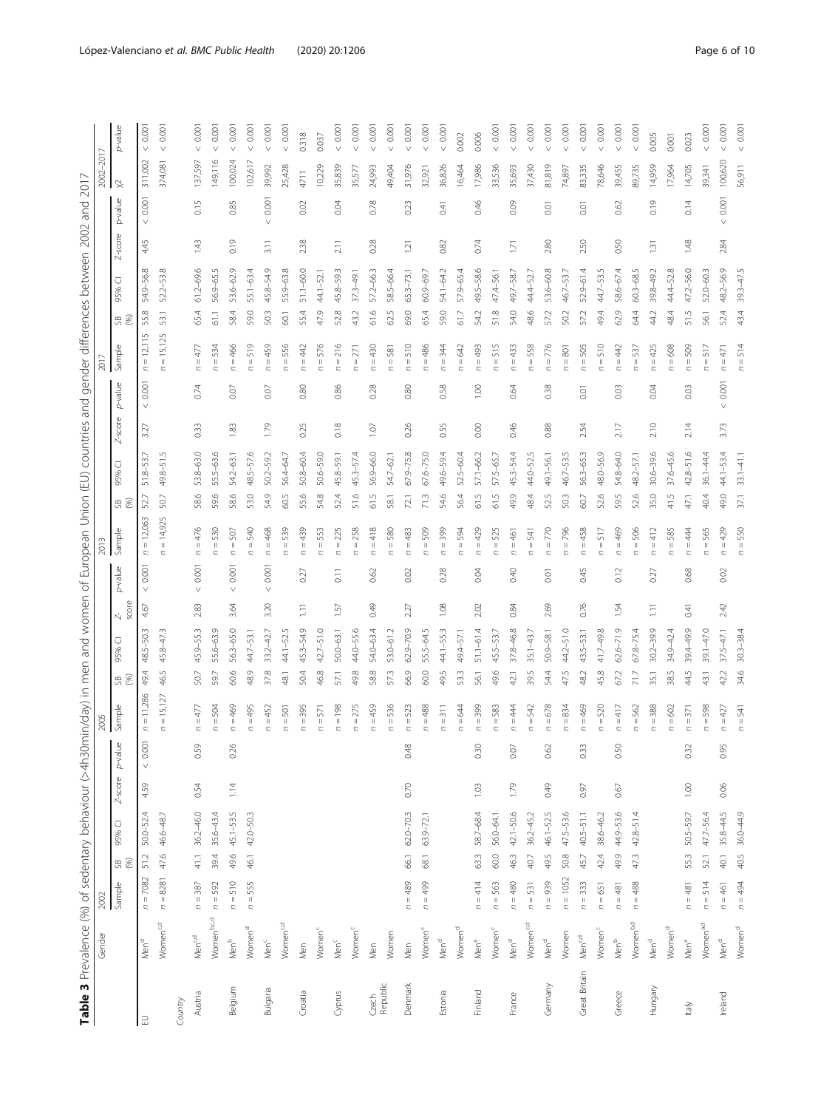<span id="page-5-0"></span>

| Table 3 Prevalence (%) of sedentary behaviour (>4h30min/day) in men and |                      |            |                                       |               |            |         |                          |      |               |                 |                    | women of European Union (EU) countries and |      |               |                |                 |                                                   |      | gender differences between 2002 |         | and             | 2017            |                |
|-------------------------------------------------------------------------|----------------------|------------|---------------------------------------|---------------|------------|---------|--------------------------|------|---------------|-----------------|--------------------|--------------------------------------------|------|---------------|----------------|-----------------|---------------------------------------------------|------|---------------------------------|---------|-----------------|-----------------|----------------|
|                                                                         | Gender               | 2002       |                                       |               |            |         | 2005                     |      |               |                 |                    | ā                                          |      |               |                |                 | ā                                                 |      |                                 |         |                 | $-2017$<br>2002 |                |
|                                                                         |                      | Sample     | 95%<br>$\overset{\circ}{\mathcal{B}}$ | ○             | $Z$ -score | p-value | Sample                   | 98   | ⊽<br>95%      | score<br>Ŋ.     | p-value            | Sample                                     | 58   | ⊽<br>95%      | $Z$ -score     | p-value         | Sample                                            | 98   | ⊽<br>95%                        | Z-score | p-value         | 父               | p-value        |
| $\exists$                                                               | Men <sup>d</sup>     | $n = 7082$ | 51.2                                  | $50.0 - 52.4$ | 4.59       | 0.001   | $= 11,286$<br>$\subset$  | 49.4 | 48.5-50.3     | $\vee$<br>4.67  | 0.001              | $= 12,063$<br>$\subset$                    | 52.7 | 51.8-53.7     | $\vee$<br>3.27 | 0.001           | 12,115<br>$\parallel$<br>$\overline{\phantom{a}}$ | 55.8 | 54.9-56.8                       | 4.45    | 0.001<br>$\vee$ | 311,002         | 0.00           |
|                                                                         | Women <sup>c,d</sup> | $n = 8281$ | 47.6                                  | 46.6-48.7     |            |         | $= 15,127$<br>$\epsilon$ | 46.5 | 45.8-47.3     |                 |                    | $= 14,925$<br>$\overline{a}$               | 50.7 | 49.8-51.      |                |                 | $= 15,125$<br>C                                   | 53.1 | 52.2-53.8                       |         |                 | 374,081         | 0.00           |
| Country                                                                 |                      |            |                                       |               |            |         |                          |      |               |                 |                    |                                            |      |               |                |                 |                                                   |      |                                 |         |                 |                 |                |
| Austria                                                                 | Men <sup>c,d</sup>   | $n = 387$  | 41.1                                  | $36.2 - 46.0$ | 0.54       | 0.59    | $n = 477$                | 50.7 | 45.9-55.3     | $\vee$<br>2.83  | 0.001              | $n = 476$                                  | 58.6 | 53.8-63.0     | 0.33           | 0.74            | $=477$<br>$\sim$                                  | 65.4 | $61.2 - 69.6$                   | 1.43    | 0.15            | 137,597         | 0.00<br>$\vee$ |
|                                                                         | Womenb.c.d           | $n = 592$  | 39.4                                  | $35.6 - 43.4$ |            |         | $n = 504$                | 59.7 | 55.6-63.9     |                 |                    | $= 530$                                    | 59.6 | $55.5 - 63.$  |                |                 | $= 534$                                           | 61.1 | 56.9-65.                        |         |                 | 149,116         | 0.00           |
| Belgium                                                                 | Men <sup>b</sup>     | $n = 510$  | 49.6                                  | 45.1-53.5     | 1.14       | 0.26    | $n = 469$                | 60.6 | 56.3-65.0     | $\vee$<br>3.64  | 0.001              | $n=507$                                    | 58.6 | 54.2-63.1     | 1.83           | 0.07            | $n = 466$                                         | 58.4 | 53.6-62.9                       | 0.19    | 0.85            | 100,024         | 0.00           |
|                                                                         | Women <sup>d</sup>   | $n = 555$  | 46.1                                  | 42.0-50.3     |            |         | $n = 495$                | 48.9 | $44.7 - 53.$  |                 |                    | $n = 540$                                  | 53.0 | $48.5 - 57.$  |                |                 | $= 519$<br>C.                                     | 59.0 | 55.1-63.4                       |         |                 | 102,617         | $0.00^{\circ}$ |
| Bulgaria                                                                | Mem <sup>c</sup>     |            |                                       |               |            |         | $n = 452$                | 37.8 | $33.2 - 42.7$ | $\vee$<br>3.20  | 0.001              | $n = 468$                                  | 54.9 | $50.2 - 59.2$ | 1.79           | 0.07            | $=459$<br>$\overline{\phantom{a}}$                | 503  | 45.8-54.9                       | 3.11    | 0.001<br>$\vee$ | 39,992          | $0.00^{\circ}$ |
|                                                                         | Women <sup>c,d</sup> |            |                                       |               |            |         | $n=501$                  | 48.1 | 44.1-52.5     |                 |                    | $= 539$<br>Ċ                               | 60.5 | 56.4-64.7     |                |                 | $= 556$<br>$\overline{a}$                         | 60.1 | 55.9-63.8                       |         |                 | 25,428          | 0.001          |
| Croatia                                                                 | Men                  |            |                                       |               |            |         | $n = 395$                | 50.4 | 45.3-54.9     | $\overline{11}$ | 0.27               | $n = 439$                                  | 55.6 | 50.8-60.4     | 0.25           | 0.80            | $n = 442$                                         | 55.4 | $51.1 - 60.0$                   | 2.38    | 0.02            | 4711            | 0.318          |
|                                                                         | Women <sup>c</sup>   |            |                                       |               |            |         | $n=571$                  | 46.8 | $42.7 - 51.0$ |                 |                    | $n = 553$                                  | 54.8 | $50.6 - 59.0$ |                |                 | $= 576$                                           | 47.9 | $44.1 - 52.1$                   |         |                 | 10,229          | 0.037          |
| Cyprus                                                                  | $Men^c$              |            |                                       |               |            |         | $n = 198$                | 57.1 | $50.0 - 63.1$ | 1.57            | $\overline{0}$ .11 | $n = 225$                                  | 52.4 | 45.8-59.1     | 0.18           | 0.86            | $n = 216$                                         | 52.8 | 45.8-59.3                       | 2.11    | 0.04            | 35,839          | 0.001          |
|                                                                         | Women <sup>c</sup>   |            |                                       |               |            |         | $n = 275$                | 49.8 | 44.0-55.6     |                 |                    | $n = 258$                                  | 51.6 | 45.3-57.      |                |                 | $n = 271$                                         | 43.2 | $37.3 - 49.$                    |         |                 | 35,577          | 0.001          |
| Czech<br>Republic                                                       | Men                  |            |                                       |               |            |         | $n = 459$                | 58.8 | 54.0-63.4     | 0.49            | 0.62               | $n = 418$                                  | 61.5 | 56.9-66.0     | $1.07\,$       | 0.28            | $n = 430$                                         | 61.6 | 57.2-66.3                       | 0.28    | 0.78            | 24,993          | < 0.001        |
|                                                                         | Women                |            |                                       |               |            |         | $n = 536$                | 57.3 | 53.0-61.2     |                 |                    | $n = 580$                                  | 58.1 | 54.7-62.      |                |                 | $n = 581$                                         | 62.5 | 58.5-66.4                       |         |                 | 49,404          | 0.001          |
| Denmark                                                                 | Men                  | $n = 489$  | 66.1                                  | $62.0 - 70.3$ | 0.70       | 0.48    | $n = 523$                | 66.9 | $62.9 - 70.9$ | 2.27            | 0.02               | $n = 483$                                  | 72.1 | $67.9 - 75.8$ | 0.26           | 0.80            | $n=510$                                           | 69.0 | $65.3 - 73.1$                   | 1.21    | 0.23            | 31,976          | < 0.001        |
|                                                                         | Women <sup>c</sup>   | $n = 499$  | 68.1                                  | 63.9-72.1     |            |         | $n = 488$                | 60.0 | 55.5-64.5     |                 |                    | $n = 509$                                  | 71.3 | $67.6 - 75.0$ |                |                 | $n = 486$                                         | 65.4 | 60.9-69.                        |         |                 | 32,921          | < 0.001        |
| Estonia                                                                 | Men <sup>d</sup>     |            |                                       |               |            |         | $n = 311$                | 49.5 | $44.1 - 55.3$ | 1.08            | 0.28               | $n = 399$                                  | 54.6 | 49.6-59.4     | 0.55           | 0.58            | $n = 344$                                         | 59.0 | 54.1-64.2                       | 0.82    | 0.41            | 36,826          | 0.001          |
|                                                                         | Women <sup>d</sup>   |            |                                       |               |            |         | $n = 644$                | 53.3 | 49.4-57.      |                 |                    | $n = 594$                                  | 56.4 | 52.5-60.4     |                |                 | $n = 642$                                         | 61.7 | 57.9-65.                        |         |                 | 16,464          | 0.002          |
| Finland                                                                 | Men <sup>a</sup>     | $n = 414$  | 63.3                                  | 58.7-68.4     | 1.03       | 0.30    | $n = 399$                | 56.1 | $51.1 - 61.4$ | 2.02            | 0.04               | $n = 429$                                  | 61.5 | 57.1-66.2     | 0.00           | 1.00            | $n = 493$                                         | 54.2 | 49.5-58.6                       | 0.74    | 0.46            | 17,986          | 0.006          |
|                                                                         | Women <sup>c</sup>   | $n = 563$  | 60.0                                  | 56.0-64.1     |            |         | $n = 583$                | 49.6 | 45.5-53.7     |                 |                    | $=525$<br>Ċ                                | 61.5 | 57.5-65.7     |                |                 | $= 515$<br>C.                                     | 51.8 | 47.4-56.                        |         |                 | 33,536          | 0.001          |
| France                                                                  | Men <sup>d</sup>     | $n = 480$  | 463                                   | $42.1 - 50.6$ | 1.79       | 0.07    | $n = 444$                | 42.1 | $37.8 - 46.8$ | 0.84            | 0.40               | $n = 461$                                  | 49.9 | 45.3-54.4     | 0.46           | 0.64            | $= 433$<br>$\mathcal{L}$                          | 54.0 | 49.7-58.7                       | 1.71    | 0.09            | 35,693          | 0.001          |
|                                                                         | Women <sup>c,d</sup> | $n = 531$  | 40.7                                  | $36.2 - 45.2$ |            |         | $n = 542$                | 39.5 | $35.1 - 43.7$ |                 |                    | $= 541$                                    | 48.4 | 44.0-52       |                |                 | $= 558$<br>$\overline{a}$                         | 48.6 | 44.4-52.                        |         |                 | 37,430          | 0.001          |
| Germany                                                                 | Men <sup>d</sup>     | $n = 939$  | 49.5                                  | 46.1-52.5     | 0.49       | 0.62    | $n = 678$                | 544  | $50.9 - 58.1$ | 2.69            | 0.01               | $n = 770$                                  | 52.5 | 49.1-56.1     | 0.88           | 0.38            | $n = 776$                                         | 57.2 | 53.6-60.8                       | 2.80    | 0.01            | 81,819          | 0.001          |
|                                                                         | Women                | $n = 1052$ | 50.8                                  | 47.5-53.6     |            |         | $n = 834$                | 47.5 | $44.2 - 51.0$ |                 |                    | $n = 796$                                  | 503  | 46.7-53.      |                |                 | $n=801$                                           | 502  | 46.7-53.                        |         |                 | 74,897          | 0.001          |
| Great Britain                                                           | Men <sup>c,d</sup>   | $n = 333$  | 45.7                                  | $40.5 - 51.1$ | 0.97       | 0.33    | $n = 469$                | 48.2 | 43.5-53.1     | 0.76            | 0.45               | $=458$<br>$\epsilon$                       | 60.7 | 56.3-65.3     | 2.54           | 0.01            | $n = 505$                                         | 57.2 | $52.9 - 61.4$                   | 2.50    | 0.01            | 83,335          | 0.001          |
|                                                                         | Women <sup>c</sup>   | $n = 651$  | 42.4                                  | 38.6-46.2     |            |         | $n = 520$                | 45.8 | 41.7-49.8     |                 |                    | $-517$                                     | 52.6 | 48.0-56.9     |                |                 | $n = 510$                                         | 49.4 | 44.7-53.5                       |         |                 | 78,646          | 0.001          |
| Greece                                                                  | Men <sup>b</sup>     | $n = 481$  | 49.9                                  | 44.9-53.6     | 0.67       | 0.50    | $n = 417$                | 67.2 | $62.6 - 71.9$ | 1.54            | 0.12               | $n = 469$                                  | 59.5 | 54.8-64.0     | 2.17           | 0.03            | $n = 442$                                         | 62.9 | 4<br>58.6-67                    | 0.50    | 0.62            | 39,455          | 0.001          |
|                                                                         | Women <sup>b,d</sup> | $n = 488$  | 47,3                                  | $42.8 - 51.4$ |            |         | $n = 562$                | 71.7 | $67.8 - 75.4$ |                 |                    | $=506$                                     | 52.6 | 48.2-57.      |                |                 | $= 537$<br>$\overline{a}$                         | 64.4 | $60.3 - 68.$                    |         |                 | 89,735          | 0.001          |
| Hungary                                                                 | Men <sup>d</sup>     |            |                                       |               |            |         | $n = 388$                | 35.1 | $30.2 - 39.9$ | E               | 0.27               | $n = 412$                                  | 35.0 | $30.6 - 39.6$ | 2.10           | 0.04            | $= 425$<br>$\sim$                                 | 44.2 | 39.8-49.2                       | 1.31    | 0.19            | 14,959          | 0.005          |
|                                                                         | Women <sup>d</sup>   |            |                                       |               |            |         | $n = 602$                | 38.5 | 34.9-42.4     |                 |                    | $= 585$                                    | 41.5 | $37.6 - 45.$  |                |                 | $= 608$                                           | 48.4 | 44.4-52.8                       |         |                 | 17,964          | 0.001          |
| Italy                                                                   | Men <sup>a</sup>     | $n = 481$  | 55.3                                  | 50.5-59.7     | 1.00       | 0.32    | $n = 371$                | 44.5 | 39.4-49.9     | 0.41            | 0.68               | $n = 444$                                  | 47.1 | $42.8 - 51.6$ | 2.14           | 0.03            | $= 509$<br>Ċ                                      | 515  | 47.2-56.0                       | 1.48    | 0.14            | 14,705          | 0.023          |
|                                                                         | Women <sup>a,d</sup> | $n = 514$  | 52.1                                  | 47.7-56.4     |            |         | $n = 598$                | 43.1 | $39.1 - 47.0$ |                 |                    | $n = 565$                                  | 40.4 | $36.1 - 44.4$ |                |                 | $= 517$                                           | 56.1 | 52.0-60.3                       |         |                 | 39,341          | 0.001          |
| Ireland                                                                 | Men <sup>d</sup>     | $n = 461$  | 40.1                                  | $35.8 - 44.5$ | 0.06       | 0.95    | $n = 427$                | 42.2 | $37.5 - 47.1$ | 2.42            | 0.02               | $n = 429$                                  | 49.0 | 44.1-53.4     | 3.73           | 0.001<br>$\vee$ | $n = 471$                                         | 52.4 | 48.2-56.9                       | 2.84    | 0.001           | 100,620         | < 0.001        |
|                                                                         | Women <sup>d</sup>   | $n = 494$  | 40.5                                  | 36.0-44.9     |            |         | $n = 541$                | 34.6 | $30.3 - 38.4$ |                 |                    | $n = 550$                                  | 37.1 | $33.1 - 41.1$ |                |                 | $n = 514$                                         | 43.4 | $39.3 - 47.5$                   |         |                 | 56,911          | < 0.001        |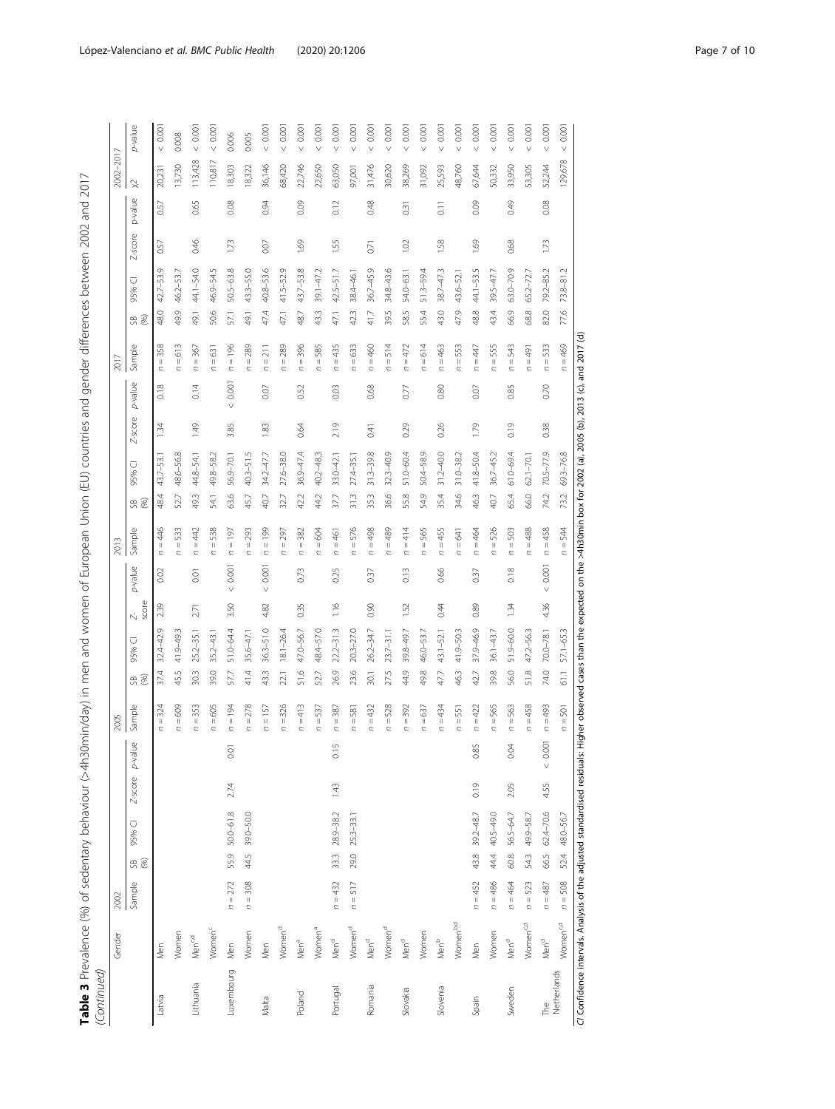| I                                                                            |   |
|------------------------------------------------------------------------------|---|
| $\frac{1}{2}$<br>J                                                           |   |
| $\frac{1}{2}$<br>d                                                           |   |
| ころ すうショー・フリンシリン っリリニリー<br>ć                                                  |   |
| l                                                                            |   |
|                                                                              |   |
|                                                                              |   |
| ļ                                                                            |   |
| ، میکنا<br>l                                                                 |   |
| ラミラ ラフラフ<br>रं<br>l<br>Ī                                                     |   |
| ï<br>Ì                                                                       |   |
| しか nim chinin Cンノヘ                                                           |   |
| へいっぺ                                                                         |   |
|                                                                              |   |
| isterion (111                                                                |   |
| ַ<br>ב                                                                       |   |
| $\frac{1}{2}$                                                                |   |
| S                                                                            |   |
| į<br>ī<br>l                                                                  |   |
| )<br>5<br>]                                                                  |   |
| www.com<br>I<br>.<br>.                                                       |   |
| ĺ<br>$\frac{1}{2}$                                                           |   |
| ١                                                                            |   |
| Ì<br>$\frac{1}{2}$                                                           |   |
| , man and                                                                    |   |
| $\frac{1}{2}$                                                                |   |
| ĩ<br>J                                                                       |   |
| l<br>J                                                                       |   |
| . منصوصاً<br>$\frac{1}{2}$                                                   |   |
| $\frac{4}{5}$                                                                |   |
| Ò<br>∪r                                                                      |   |
| =                                                                            |   |
| l<br>I                                                                       |   |
|                                                                              |   |
| ١<br>İ<br>֖֖֖֖֖֖֖֖֧֖֧֧ׅ֖֧֧֚֚֚֚֚֚֚֚֚֚֚֚֚֚֚֚֚֚֚֚֚֚֚֚֚֚֚֡֬֝֓֞֡֡֓֞֡֞֝֓֞֝֬֝֬֞֞֞֝֬ |   |
| ï                                                                            |   |
|                                                                              |   |
|                                                                              |   |
|                                                                              |   |
|                                                                              | ١ |
| I                                                                            | ţ |
|                                                                              |   |
| í                                                                            | Ï |

| p-value<br>0.001<br>0.001<br>0.001<br>0.001<br>0.001<br>0.0001<br>0.001<br>0.001<br>0.001<br>0.001<br>0.001<br>0.000<br>0.0001<br>0.001<br>0.001<br>0.001<br>0.001<br>0.0001<br>$0.00^{\circ}$<br>0.001<br>0.00<br>0.008<br>0.006<br>0.005<br>113,428<br>110,817<br>129,678<br>13,730<br>18,303<br>36,146<br>68,420<br>22,746<br>22,650<br>63,050<br>31,476<br>30,620<br>38,269<br>48,760<br>67,644<br>33,950<br>53,305<br>52,244<br>31,092<br>25,593<br>50,332<br>18,322<br>97,001<br>20,231<br>$\times$<br>p-value<br>0.65<br>0.08<br>0.48<br>0.09<br>0.49<br>0.08<br>0.94<br>0.09<br>0.12<br>0.57<br>$\overline{0}$ . 11<br>0.31<br>Z-score<br>0.46<br>1.73<br>1.69<br>1.55<br>1.02<br>1.58<br>1.69<br>0.68<br>1.73<br>0.07<br>0.57<br>0.71<br>$42.7 - 53.9$<br>44.1-54.0<br>$50.5 - 63.8$<br>40.8-53.6<br>43.7-53.8<br>$42.5 - 51.7$<br>$36.7 - 45.9$<br>$38.7 - 47.3$<br>44.1-53.5<br>$63.0 - 70.9$<br>79.2-85.2<br>$43.3 - 55.0$<br>$41.5 - 52.9$<br>$39.1 - 47.2$<br>34.8-43.6<br>$51.3 - 59.4$<br>$73.8 - 81.2$<br>46.2-53.7<br>54.0-63.1<br>39.5-47.7<br>65.2-72.7<br>43.6-52.1<br>38.4-46.1<br>46.9-54.<br>U<br>95%<br>55.4<br>47.9<br>66.9<br>82.0<br>48.0<br>50.6<br>47,4<br>395<br>585<br>43.0<br>48.8<br>43.4<br>68.8<br>77.6<br>49.9<br>57.1<br>433<br>423<br>41,7<br>491<br>491<br>47,1<br>48.7<br>47,1<br>ස මි<br>$n = 358$<br>$= 613$<br>$= 514$<br>$n = 472$<br>$n = 614$<br>Sample<br>$n = 367$<br>$n = 196$<br>$n = 289$<br>$n = 289$<br>$n = 396$<br>$n = 585$<br>$n = 435$<br>$= 633$<br>$n = 460$<br>$n = 463$<br>$n = 553$<br>$n = 555$<br>$n = 543$<br>$n = 533$<br>$n = 469$<br>$n = 211$<br>$n = 447$<br>$= 491$<br>$n = 631$<br>$\overline{a}$<br>Ċ<br>Ċ<br>$\mathbf{c}$<br>0.001<br>p-value<br>0.18<br>0.14<br>0.52<br>0.03<br>0.68<br>0.80<br>0.85<br>0.70<br>0.07<br>0.77<br>0.07<br>$\vee$<br>$Z$ -score<br>1.49<br>1.79<br>0.19<br>3.85<br>2.19<br>0.29<br>0.26<br>0.38<br>1.34<br>1.83<br>0.64<br>0.41<br>$31.2 - 40.0$<br>27.6-38.0<br>36.9-47.4<br>$31.3 - 39.8$<br>$32.3 - 40.9$<br>$51.0 - 60.4$<br>$50.4 - 58.9$<br>41.8-50.4<br>$61.0 - 69.4$<br>$70.5 - 77.9$<br>$69.3 - 76.8$<br>48.6-56.8<br>34.2-47.7<br>$40.2 - 48.3$<br>$31.0 - 38.2$<br>49.8-58.2<br>$56.9 - 70.1$<br>36.7-45.2<br>44.8-54.1<br>43.7-53.1<br>$33.0 - 42.1$<br>$62.1 - 70.1$<br>27.4-35.<br>$40.3 - 51$ .<br>⊽<br>95%<br>36.6<br>54.9<br>34,6<br>65.4<br>74.2<br>48.4<br>49.3<br>63.6<br>40.7<br>44.2<br>31.3<br>55.8<br>35.4<br>46.3<br>66.0<br>45.7<br>32.7<br>42.2<br>37.7<br>35.3<br>40.7<br>73.2<br>52.7<br>54.1<br>ස මි<br>$n = 446$<br>$n = 533$<br>$n = 442$<br>$n = 538$<br>$n = 199$<br>$n = 576$<br>$n = 489$<br>$n = 414$<br>$n = 565$<br>$= 526$<br>$n = 488$<br>$n = 458$<br>$n = 197$<br>$n = 293$<br>$= 382$<br>$n = 604$<br>$n = 498$<br>$n = 455$<br>$n = 464$<br>$n = 503$<br>$n = 544$<br>Sample<br>$n = 297$<br>$n = 461$<br>$n = 641$<br>C<br>0.001<br>0.001<br>p-value<br>0.001<br>0.73<br>0.13<br>0.66<br>0.18<br>0.25<br>0.37<br>0.02<br>0.37<br>$\overline{0}$ .01<br>$\vee$<br>$\vee$<br>$\vee$<br>score<br>3.50<br>1.16<br>4.36<br>239<br>4.82<br>0.35<br>0.90<br>0.44<br>0.89<br>1.52<br>1.34<br>2.71<br>$\stackrel{-}{\sim}$<br>$32.4 - 42.9$<br>$36.3 - 51.0$<br>37.9-46.9<br>$51.9 - 60.0$<br>51.0-64.4<br>$22.2 - 31.3$<br>47.0-56.7<br>48.4-57.0<br>$20.3 - 27.0$<br>26.2-34.7<br>39.8-49.7<br>$41.9 - 50.3$<br>47.2-56.3<br>$25.2 - 35.1$<br>$18.1 - 26.4$<br>46.0-53.7<br>$36.1 - 43.7$<br>$70.0 - 78.1$<br>57.1-65.3<br>41.9-49.3<br>$23.7 - 31.1$<br>43.1-52.1<br>$35.2 - 43.$<br>$35.6 - 47.$<br>○<br>95%<br>74.0<br>23.6<br>37.4<br>30.3<br>39.0<br>57.7<br>41.4<br>43.3<br>51.6<br>26.9<br>27.5<br>44,9<br>49.8<br>46.3<br>39.8<br>56.0<br>51.8<br>45.5<br>22.1<br>52.7<br>47.7<br>42.7<br>30.1<br>61.1<br><u>ස ම</u><br>324<br>$n = 278$<br>$n = 326$<br>$= 413$<br>528<br>$n = 565$<br>$n = 458$<br>$n = 493$<br>$n = 609$<br>353<br>$n = 605$<br>$= 194$<br>$= 157$<br>$n = 537$<br>$n = 387$<br>$n = 432$<br>$n = 392$<br>$n = 637$<br>$n = 434$<br>$n = 422$<br>$n = 563$<br>Sample<br>$n=501$<br>$n = 551$<br>$n = 581$<br>$\frac{1}{2}$<br>$\frac{1}{2}$<br>$n =$<br>C<br>Ċ<br>C<br>0.001<br>$\mathbf 0$<br>0.85<br>0.04<br>0.15<br>p-value<br>0.0<br>Z-score<br>2.74<br>1.43<br>0.19<br>2.05<br>4.55<br>$50.0 - 61.8$<br>62.4-70.6<br>39.0-50.0<br>$28.9 - 38.2$<br>40.5-49.0<br>48.0-56.7<br>39.2-48.7<br>56.5-64.7<br>49.9-58.7<br>$25.3 - 33.1$<br>95% C<br>29.0<br>55.9<br>66.5<br>52.4<br>44.5<br>44.4<br>60.8<br>43.8<br>543<br>33.3<br>$\Re$<br>$n = 308$<br>$n = 517$<br>$n = 508$<br>Sample<br>$n = 272$<br>$n = 432$<br>$n = 452$<br>$n = 486$<br>$n = 464$<br>$n = 523$<br>$n = 487$<br>Women <sup>b,d</sup><br>Women <sup>c,d</sup><br>Women <sup>c,d</sup><br>Women <sup>d</sup><br>Women <sup>c</sup><br>Women <sup>d</sup><br>Women <sup>d</sup><br>Women <sup>a</sup><br>Women<br>Women<br>Women<br>Women<br>Men <sup>c,d</sup><br>Men <sup>b</sup><br>Men <sup>a</sup><br>Men <sup>d</sup><br>Men <sup>d</sup><br>Men <sup>d</sup><br>Men <sup>d</sup><br>Men <sup>d</sup><br>Men<br>Men<br>Men<br>Men<br>Luxembourg<br>Netherlands<br>Lithuania<br>Romania<br>Slovenia<br>Portugal<br>Slovakia<br>Sweden<br>Poland<br>Latvia<br>Malta<br>Spain | (Continued) | Gender | 2002 |  |  | 2005 |  |  | 2013 |  |  | 2017 |  |  | 2002-2017 |  |
|----------------------------------------------------------------------------------------------------------------------------------------------------------------------------------------------------------------------------------------------------------------------------------------------------------------------------------------------------------------------------------------------------------------------------------------------------------------------------------------------------------------------------------------------------------------------------------------------------------------------------------------------------------------------------------------------------------------------------------------------------------------------------------------------------------------------------------------------------------------------------------------------------------------------------------------------------------------------------------------------------------------------------------------------------------------------------------------------------------------------------------------------------------------------------------------------------------------------------------------------------------------------------------------------------------------------------------------------------------------------------------------------------------------------------------------------------------------------------------------------------------------------------------------------------------------------------------------------------------------------------------------------------------------------------------------------------------------------------------------------------------------------------------------------------------------------------------------------------------------------------------------------------------------------------------------------------------------------------------------------------------------------------------------------------------------------------------------------------------------------------------------------------------------------------------------------------------------------------------------------------------------------------------------------------------------------------------------------------------------------------------------------------------------------------------------------------------------------------------------------------------------------------------------------------------------------------------------------------------------------------------------------------------------------------------------------------------------------------------------------------------------------------------------------------------------------------------------------------------------------------------------------------------------------------------------------------------------------------------------------------------------------------------------------------------------------------------------------------------------------------------------------------------------------------------------------------------------------------------------------------------------------------------------------------------------------------------------------------------------------------------------------------------------------------------------------------------------------------------------------------------------------------------------------------------------------------------------------------------------------------------------------------------------------------------------------------------------------------------------------------------------------------------------------------------------------------------------------------------------------------------------------------------------------------------------------------------------------------------------------------------------------------------------------------------------------------------------------------------------------------------------------------------------------------------------------------------------------------------------------------------------------------------------------------------------------------------------------------------------------------------------------------------------------------------------------------------------------------------------------------------------------------------------------------------------------------------------------------------------------------------------------------------------------------------------------------------------------------------------------------------------------------------------------------------------------------------------------------------------------------------------------------------------------------------------------------------------------------------------------------------------------------------------------------------------------------------------------------------------------------------------------------------------------------------------------------------------------------------|-------------|--------|------|--|--|------|--|--|------|--|--|------|--|--|-----------|--|
|                                                                                                                                                                                                                                                                                                                                                                                                                                                                                                                                                                                                                                                                                                                                                                                                                                                                                                                                                                                                                                                                                                                                                                                                                                                                                                                                                                                                                                                                                                                                                                                                                                                                                                                                                                                                                                                                                                                                                                                                                                                                                                                                                                                                                                                                                                                                                                                                                                                                                                                                                                                                                                                                                                                                                                                                                                                                                                                                                                                                                                                                                                                                                                                                                                                                                                                                                                                                                                                                                                                                                                                                                                                                                                                                                                                                                                                                                                                                                                                                                                                                                                                                                                                                                                                                                                                                                                                                                                                                                                                                                                                                                                                                                                                                                                                                                                                                                                                                                                                                                                                                                                                                                                                                                                  |             |        |      |  |  |      |  |  |      |  |  |      |  |  |           |  |
|                                                                                                                                                                                                                                                                                                                                                                                                                                                                                                                                                                                                                                                                                                                                                                                                                                                                                                                                                                                                                                                                                                                                                                                                                                                                                                                                                                                                                                                                                                                                                                                                                                                                                                                                                                                                                                                                                                                                                                                                                                                                                                                                                                                                                                                                                                                                                                                                                                                                                                                                                                                                                                                                                                                                                                                                                                                                                                                                                                                                                                                                                                                                                                                                                                                                                                                                                                                                                                                                                                                                                                                                                                                                                                                                                                                                                                                                                                                                                                                                                                                                                                                                                                                                                                                                                                                                                                                                                                                                                                                                                                                                                                                                                                                                                                                                                                                                                                                                                                                                                                                                                                                                                                                                                                  |             |        |      |  |  |      |  |  |      |  |  |      |  |  |           |  |
|                                                                                                                                                                                                                                                                                                                                                                                                                                                                                                                                                                                                                                                                                                                                                                                                                                                                                                                                                                                                                                                                                                                                                                                                                                                                                                                                                                                                                                                                                                                                                                                                                                                                                                                                                                                                                                                                                                                                                                                                                                                                                                                                                                                                                                                                                                                                                                                                                                                                                                                                                                                                                                                                                                                                                                                                                                                                                                                                                                                                                                                                                                                                                                                                                                                                                                                                                                                                                                                                                                                                                                                                                                                                                                                                                                                                                                                                                                                                                                                                                                                                                                                                                                                                                                                                                                                                                                                                                                                                                                                                                                                                                                                                                                                                                                                                                                                                                                                                                                                                                                                                                                                                                                                                                                  |             |        |      |  |  |      |  |  |      |  |  |      |  |  |           |  |
|                                                                                                                                                                                                                                                                                                                                                                                                                                                                                                                                                                                                                                                                                                                                                                                                                                                                                                                                                                                                                                                                                                                                                                                                                                                                                                                                                                                                                                                                                                                                                                                                                                                                                                                                                                                                                                                                                                                                                                                                                                                                                                                                                                                                                                                                                                                                                                                                                                                                                                                                                                                                                                                                                                                                                                                                                                                                                                                                                                                                                                                                                                                                                                                                                                                                                                                                                                                                                                                                                                                                                                                                                                                                                                                                                                                                                                                                                                                                                                                                                                                                                                                                                                                                                                                                                                                                                                                                                                                                                                                                                                                                                                                                                                                                                                                                                                                                                                                                                                                                                                                                                                                                                                                                                                  |             |        |      |  |  |      |  |  |      |  |  |      |  |  |           |  |
|                                                                                                                                                                                                                                                                                                                                                                                                                                                                                                                                                                                                                                                                                                                                                                                                                                                                                                                                                                                                                                                                                                                                                                                                                                                                                                                                                                                                                                                                                                                                                                                                                                                                                                                                                                                                                                                                                                                                                                                                                                                                                                                                                                                                                                                                                                                                                                                                                                                                                                                                                                                                                                                                                                                                                                                                                                                                                                                                                                                                                                                                                                                                                                                                                                                                                                                                                                                                                                                                                                                                                                                                                                                                                                                                                                                                                                                                                                                                                                                                                                                                                                                                                                                                                                                                                                                                                                                                                                                                                                                                                                                                                                                                                                                                                                                                                                                                                                                                                                                                                                                                                                                                                                                                                                  |             |        |      |  |  |      |  |  |      |  |  |      |  |  |           |  |
|                                                                                                                                                                                                                                                                                                                                                                                                                                                                                                                                                                                                                                                                                                                                                                                                                                                                                                                                                                                                                                                                                                                                                                                                                                                                                                                                                                                                                                                                                                                                                                                                                                                                                                                                                                                                                                                                                                                                                                                                                                                                                                                                                                                                                                                                                                                                                                                                                                                                                                                                                                                                                                                                                                                                                                                                                                                                                                                                                                                                                                                                                                                                                                                                                                                                                                                                                                                                                                                                                                                                                                                                                                                                                                                                                                                                                                                                                                                                                                                                                                                                                                                                                                                                                                                                                                                                                                                                                                                                                                                                                                                                                                                                                                                                                                                                                                                                                                                                                                                                                                                                                                                                                                                                                                  |             |        |      |  |  |      |  |  |      |  |  |      |  |  |           |  |
|                                                                                                                                                                                                                                                                                                                                                                                                                                                                                                                                                                                                                                                                                                                                                                                                                                                                                                                                                                                                                                                                                                                                                                                                                                                                                                                                                                                                                                                                                                                                                                                                                                                                                                                                                                                                                                                                                                                                                                                                                                                                                                                                                                                                                                                                                                                                                                                                                                                                                                                                                                                                                                                                                                                                                                                                                                                                                                                                                                                                                                                                                                                                                                                                                                                                                                                                                                                                                                                                                                                                                                                                                                                                                                                                                                                                                                                                                                                                                                                                                                                                                                                                                                                                                                                                                                                                                                                                                                                                                                                                                                                                                                                                                                                                                                                                                                                                                                                                                                                                                                                                                                                                                                                                                                  |             |        |      |  |  |      |  |  |      |  |  |      |  |  |           |  |
|                                                                                                                                                                                                                                                                                                                                                                                                                                                                                                                                                                                                                                                                                                                                                                                                                                                                                                                                                                                                                                                                                                                                                                                                                                                                                                                                                                                                                                                                                                                                                                                                                                                                                                                                                                                                                                                                                                                                                                                                                                                                                                                                                                                                                                                                                                                                                                                                                                                                                                                                                                                                                                                                                                                                                                                                                                                                                                                                                                                                                                                                                                                                                                                                                                                                                                                                                                                                                                                                                                                                                                                                                                                                                                                                                                                                                                                                                                                                                                                                                                                                                                                                                                                                                                                                                                                                                                                                                                                                                                                                                                                                                                                                                                                                                                                                                                                                                                                                                                                                                                                                                                                                                                                                                                  |             |        |      |  |  |      |  |  |      |  |  |      |  |  |           |  |
|                                                                                                                                                                                                                                                                                                                                                                                                                                                                                                                                                                                                                                                                                                                                                                                                                                                                                                                                                                                                                                                                                                                                                                                                                                                                                                                                                                                                                                                                                                                                                                                                                                                                                                                                                                                                                                                                                                                                                                                                                                                                                                                                                                                                                                                                                                                                                                                                                                                                                                                                                                                                                                                                                                                                                                                                                                                                                                                                                                                                                                                                                                                                                                                                                                                                                                                                                                                                                                                                                                                                                                                                                                                                                                                                                                                                                                                                                                                                                                                                                                                                                                                                                                                                                                                                                                                                                                                                                                                                                                                                                                                                                                                                                                                                                                                                                                                                                                                                                                                                                                                                                                                                                                                                                                  |             |        |      |  |  |      |  |  |      |  |  |      |  |  |           |  |
|                                                                                                                                                                                                                                                                                                                                                                                                                                                                                                                                                                                                                                                                                                                                                                                                                                                                                                                                                                                                                                                                                                                                                                                                                                                                                                                                                                                                                                                                                                                                                                                                                                                                                                                                                                                                                                                                                                                                                                                                                                                                                                                                                                                                                                                                                                                                                                                                                                                                                                                                                                                                                                                                                                                                                                                                                                                                                                                                                                                                                                                                                                                                                                                                                                                                                                                                                                                                                                                                                                                                                                                                                                                                                                                                                                                                                                                                                                                                                                                                                                                                                                                                                                                                                                                                                                                                                                                                                                                                                                                                                                                                                                                                                                                                                                                                                                                                                                                                                                                                                                                                                                                                                                                                                                  |             |        |      |  |  |      |  |  |      |  |  |      |  |  |           |  |
|                                                                                                                                                                                                                                                                                                                                                                                                                                                                                                                                                                                                                                                                                                                                                                                                                                                                                                                                                                                                                                                                                                                                                                                                                                                                                                                                                                                                                                                                                                                                                                                                                                                                                                                                                                                                                                                                                                                                                                                                                                                                                                                                                                                                                                                                                                                                                                                                                                                                                                                                                                                                                                                                                                                                                                                                                                                                                                                                                                                                                                                                                                                                                                                                                                                                                                                                                                                                                                                                                                                                                                                                                                                                                                                                                                                                                                                                                                                                                                                                                                                                                                                                                                                                                                                                                                                                                                                                                                                                                                                                                                                                                                                                                                                                                                                                                                                                                                                                                                                                                                                                                                                                                                                                                                  |             |        |      |  |  |      |  |  |      |  |  |      |  |  |           |  |
|                                                                                                                                                                                                                                                                                                                                                                                                                                                                                                                                                                                                                                                                                                                                                                                                                                                                                                                                                                                                                                                                                                                                                                                                                                                                                                                                                                                                                                                                                                                                                                                                                                                                                                                                                                                                                                                                                                                                                                                                                                                                                                                                                                                                                                                                                                                                                                                                                                                                                                                                                                                                                                                                                                                                                                                                                                                                                                                                                                                                                                                                                                                                                                                                                                                                                                                                                                                                                                                                                                                                                                                                                                                                                                                                                                                                                                                                                                                                                                                                                                                                                                                                                                                                                                                                                                                                                                                                                                                                                                                                                                                                                                                                                                                                                                                                                                                                                                                                                                                                                                                                                                                                                                                                                                  |             |        |      |  |  |      |  |  |      |  |  |      |  |  |           |  |
|                                                                                                                                                                                                                                                                                                                                                                                                                                                                                                                                                                                                                                                                                                                                                                                                                                                                                                                                                                                                                                                                                                                                                                                                                                                                                                                                                                                                                                                                                                                                                                                                                                                                                                                                                                                                                                                                                                                                                                                                                                                                                                                                                                                                                                                                                                                                                                                                                                                                                                                                                                                                                                                                                                                                                                                                                                                                                                                                                                                                                                                                                                                                                                                                                                                                                                                                                                                                                                                                                                                                                                                                                                                                                                                                                                                                                                                                                                                                                                                                                                                                                                                                                                                                                                                                                                                                                                                                                                                                                                                                                                                                                                                                                                                                                                                                                                                                                                                                                                                                                                                                                                                                                                                                                                  |             |        |      |  |  |      |  |  |      |  |  |      |  |  |           |  |
|                                                                                                                                                                                                                                                                                                                                                                                                                                                                                                                                                                                                                                                                                                                                                                                                                                                                                                                                                                                                                                                                                                                                                                                                                                                                                                                                                                                                                                                                                                                                                                                                                                                                                                                                                                                                                                                                                                                                                                                                                                                                                                                                                                                                                                                                                                                                                                                                                                                                                                                                                                                                                                                                                                                                                                                                                                                                                                                                                                                                                                                                                                                                                                                                                                                                                                                                                                                                                                                                                                                                                                                                                                                                                                                                                                                                                                                                                                                                                                                                                                                                                                                                                                                                                                                                                                                                                                                                                                                                                                                                                                                                                                                                                                                                                                                                                                                                                                                                                                                                                                                                                                                                                                                                                                  |             |        |      |  |  |      |  |  |      |  |  |      |  |  |           |  |
|                                                                                                                                                                                                                                                                                                                                                                                                                                                                                                                                                                                                                                                                                                                                                                                                                                                                                                                                                                                                                                                                                                                                                                                                                                                                                                                                                                                                                                                                                                                                                                                                                                                                                                                                                                                                                                                                                                                                                                                                                                                                                                                                                                                                                                                                                                                                                                                                                                                                                                                                                                                                                                                                                                                                                                                                                                                                                                                                                                                                                                                                                                                                                                                                                                                                                                                                                                                                                                                                                                                                                                                                                                                                                                                                                                                                                                                                                                                                                                                                                                                                                                                                                                                                                                                                                                                                                                                                                                                                                                                                                                                                                                                                                                                                                                                                                                                                                                                                                                                                                                                                                                                                                                                                                                  |             |        |      |  |  |      |  |  |      |  |  |      |  |  |           |  |
|                                                                                                                                                                                                                                                                                                                                                                                                                                                                                                                                                                                                                                                                                                                                                                                                                                                                                                                                                                                                                                                                                                                                                                                                                                                                                                                                                                                                                                                                                                                                                                                                                                                                                                                                                                                                                                                                                                                                                                                                                                                                                                                                                                                                                                                                                                                                                                                                                                                                                                                                                                                                                                                                                                                                                                                                                                                                                                                                                                                                                                                                                                                                                                                                                                                                                                                                                                                                                                                                                                                                                                                                                                                                                                                                                                                                                                                                                                                                                                                                                                                                                                                                                                                                                                                                                                                                                                                                                                                                                                                                                                                                                                                                                                                                                                                                                                                                                                                                                                                                                                                                                                                                                                                                                                  |             |        |      |  |  |      |  |  |      |  |  |      |  |  |           |  |
|                                                                                                                                                                                                                                                                                                                                                                                                                                                                                                                                                                                                                                                                                                                                                                                                                                                                                                                                                                                                                                                                                                                                                                                                                                                                                                                                                                                                                                                                                                                                                                                                                                                                                                                                                                                                                                                                                                                                                                                                                                                                                                                                                                                                                                                                                                                                                                                                                                                                                                                                                                                                                                                                                                                                                                                                                                                                                                                                                                                                                                                                                                                                                                                                                                                                                                                                                                                                                                                                                                                                                                                                                                                                                                                                                                                                                                                                                                                                                                                                                                                                                                                                                                                                                                                                                                                                                                                                                                                                                                                                                                                                                                                                                                                                                                                                                                                                                                                                                                                                                                                                                                                                                                                                                                  |             |        |      |  |  |      |  |  |      |  |  |      |  |  |           |  |
|                                                                                                                                                                                                                                                                                                                                                                                                                                                                                                                                                                                                                                                                                                                                                                                                                                                                                                                                                                                                                                                                                                                                                                                                                                                                                                                                                                                                                                                                                                                                                                                                                                                                                                                                                                                                                                                                                                                                                                                                                                                                                                                                                                                                                                                                                                                                                                                                                                                                                                                                                                                                                                                                                                                                                                                                                                                                                                                                                                                                                                                                                                                                                                                                                                                                                                                                                                                                                                                                                                                                                                                                                                                                                                                                                                                                                                                                                                                                                                                                                                                                                                                                                                                                                                                                                                                                                                                                                                                                                                                                                                                                                                                                                                                                                                                                                                                                                                                                                                                                                                                                                                                                                                                                                                  |             |        |      |  |  |      |  |  |      |  |  |      |  |  |           |  |
|                                                                                                                                                                                                                                                                                                                                                                                                                                                                                                                                                                                                                                                                                                                                                                                                                                                                                                                                                                                                                                                                                                                                                                                                                                                                                                                                                                                                                                                                                                                                                                                                                                                                                                                                                                                                                                                                                                                                                                                                                                                                                                                                                                                                                                                                                                                                                                                                                                                                                                                                                                                                                                                                                                                                                                                                                                                                                                                                                                                                                                                                                                                                                                                                                                                                                                                                                                                                                                                                                                                                                                                                                                                                                                                                                                                                                                                                                                                                                                                                                                                                                                                                                                                                                                                                                                                                                                                                                                                                                                                                                                                                                                                                                                                                                                                                                                                                                                                                                                                                                                                                                                                                                                                                                                  |             |        |      |  |  |      |  |  |      |  |  |      |  |  |           |  |
|                                                                                                                                                                                                                                                                                                                                                                                                                                                                                                                                                                                                                                                                                                                                                                                                                                                                                                                                                                                                                                                                                                                                                                                                                                                                                                                                                                                                                                                                                                                                                                                                                                                                                                                                                                                                                                                                                                                                                                                                                                                                                                                                                                                                                                                                                                                                                                                                                                                                                                                                                                                                                                                                                                                                                                                                                                                                                                                                                                                                                                                                                                                                                                                                                                                                                                                                                                                                                                                                                                                                                                                                                                                                                                                                                                                                                                                                                                                                                                                                                                                                                                                                                                                                                                                                                                                                                                                                                                                                                                                                                                                                                                                                                                                                                                                                                                                                                                                                                                                                                                                                                                                                                                                                                                  |             |        |      |  |  |      |  |  |      |  |  |      |  |  |           |  |
|                                                                                                                                                                                                                                                                                                                                                                                                                                                                                                                                                                                                                                                                                                                                                                                                                                                                                                                                                                                                                                                                                                                                                                                                                                                                                                                                                                                                                                                                                                                                                                                                                                                                                                                                                                                                                                                                                                                                                                                                                                                                                                                                                                                                                                                                                                                                                                                                                                                                                                                                                                                                                                                                                                                                                                                                                                                                                                                                                                                                                                                                                                                                                                                                                                                                                                                                                                                                                                                                                                                                                                                                                                                                                                                                                                                                                                                                                                                                                                                                                                                                                                                                                                                                                                                                                                                                                                                                                                                                                                                                                                                                                                                                                                                                                                                                                                                                                                                                                                                                                                                                                                                                                                                                                                  |             |        |      |  |  |      |  |  |      |  |  |      |  |  |           |  |
|                                                                                                                                                                                                                                                                                                                                                                                                                                                                                                                                                                                                                                                                                                                                                                                                                                                                                                                                                                                                                                                                                                                                                                                                                                                                                                                                                                                                                                                                                                                                                                                                                                                                                                                                                                                                                                                                                                                                                                                                                                                                                                                                                                                                                                                                                                                                                                                                                                                                                                                                                                                                                                                                                                                                                                                                                                                                                                                                                                                                                                                                                                                                                                                                                                                                                                                                                                                                                                                                                                                                                                                                                                                                                                                                                                                                                                                                                                                                                                                                                                                                                                                                                                                                                                                                                                                                                                                                                                                                                                                                                                                                                                                                                                                                                                                                                                                                                                                                                                                                                                                                                                                                                                                                                                  |             |        |      |  |  |      |  |  |      |  |  |      |  |  |           |  |
|                                                                                                                                                                                                                                                                                                                                                                                                                                                                                                                                                                                                                                                                                                                                                                                                                                                                                                                                                                                                                                                                                                                                                                                                                                                                                                                                                                                                                                                                                                                                                                                                                                                                                                                                                                                                                                                                                                                                                                                                                                                                                                                                                                                                                                                                                                                                                                                                                                                                                                                                                                                                                                                                                                                                                                                                                                                                                                                                                                                                                                                                                                                                                                                                                                                                                                                                                                                                                                                                                                                                                                                                                                                                                                                                                                                                                                                                                                                                                                                                                                                                                                                                                                                                                                                                                                                                                                                                                                                                                                                                                                                                                                                                                                                                                                                                                                                                                                                                                                                                                                                                                                                                                                                                                                  |             |        |      |  |  |      |  |  |      |  |  |      |  |  |           |  |
|                                                                                                                                                                                                                                                                                                                                                                                                                                                                                                                                                                                                                                                                                                                                                                                                                                                                                                                                                                                                                                                                                                                                                                                                                                                                                                                                                                                                                                                                                                                                                                                                                                                                                                                                                                                                                                                                                                                                                                                                                                                                                                                                                                                                                                                                                                                                                                                                                                                                                                                                                                                                                                                                                                                                                                                                                                                                                                                                                                                                                                                                                                                                                                                                                                                                                                                                                                                                                                                                                                                                                                                                                                                                                                                                                                                                                                                                                                                                                                                                                                                                                                                                                                                                                                                                                                                                                                                                                                                                                                                                                                                                                                                                                                                                                                                                                                                                                                                                                                                                                                                                                                                                                                                                                                  |             |        |      |  |  |      |  |  |      |  |  |      |  |  |           |  |
|                                                                                                                                                                                                                                                                                                                                                                                                                                                                                                                                                                                                                                                                                                                                                                                                                                                                                                                                                                                                                                                                                                                                                                                                                                                                                                                                                                                                                                                                                                                                                                                                                                                                                                                                                                                                                                                                                                                                                                                                                                                                                                                                                                                                                                                                                                                                                                                                                                                                                                                                                                                                                                                                                                                                                                                                                                                                                                                                                                                                                                                                                                                                                                                                                                                                                                                                                                                                                                                                                                                                                                                                                                                                                                                                                                                                                                                                                                                                                                                                                                                                                                                                                                                                                                                                                                                                                                                                                                                                                                                                                                                                                                                                                                                                                                                                                                                                                                                                                                                                                                                                                                                                                                                                                                  |             |        |      |  |  |      |  |  |      |  |  |      |  |  |           |  |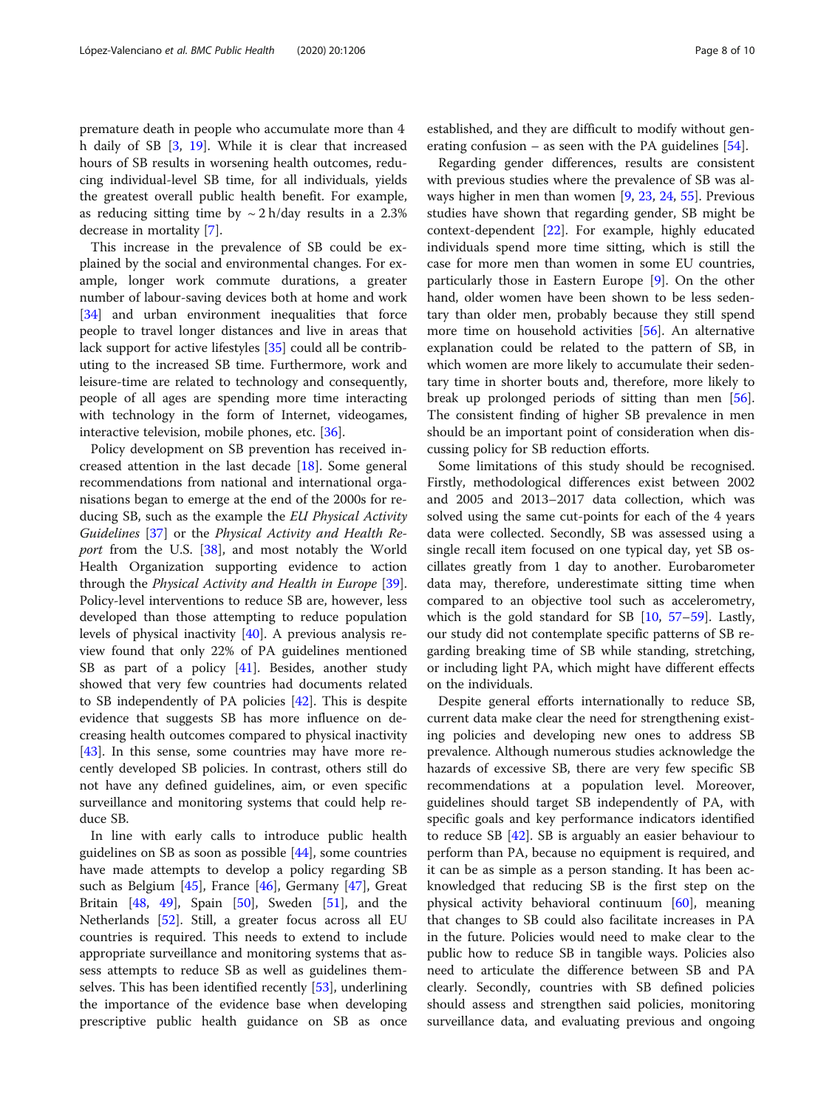premature death in people who accumulate more than 4 h daily of SB [\[3,](#page-8-0) [19\]](#page-9-0). While it is clear that increased hours of SB results in worsening health outcomes, reducing individual-level SB time, for all individuals, yields the greatest overall public health benefit. For example, as reducing sitting time by  $\sim 2$  h/day results in a 2.3% decrease in mortality [[7](#page-8-0)].

This increase in the prevalence of SB could be explained by the social and environmental changes. For example, longer work commute durations, a greater number of labour-saving devices both at home and work [[34\]](#page-9-0) and urban environment inequalities that force people to travel longer distances and live in areas that lack support for active lifestyles [\[35](#page-9-0)] could all be contributing to the increased SB time. Furthermore, work and leisure-time are related to technology and consequently, people of all ages are spending more time interacting with technology in the form of Internet, videogames, interactive television, mobile phones, etc. [\[36](#page-9-0)].

Policy development on SB prevention has received increased attention in the last decade [[18\]](#page-9-0). Some general recommendations from national and international organisations began to emerge at the end of the 2000s for reducing SB, such as the example the EU Physical Activity Guidelines [[37\]](#page-9-0) or the Physical Activity and Health Re-port from the U.S. [[38](#page-9-0)], and most notably the World Health Organization supporting evidence to action through the Physical Activity and Health in Europe [\[39](#page-9-0)]. Policy-level interventions to reduce SB are, however, less developed than those attempting to reduce population levels of physical inactivity [\[40](#page-9-0)]. A previous analysis review found that only 22% of PA guidelines mentioned SB as part of a policy [[41](#page-9-0)]. Besides, another study showed that very few countries had documents related to SB independently of PA policies [[42](#page-9-0)]. This is despite evidence that suggests SB has more influence on decreasing health outcomes compared to physical inactivity [[43\]](#page-9-0). In this sense, some countries may have more recently developed SB policies. In contrast, others still do not have any defined guidelines, aim, or even specific surveillance and monitoring systems that could help reduce SB.

In line with early calls to introduce public health guidelines on SB as soon as possible [\[44](#page-9-0)], some countries have made attempts to develop a policy regarding SB such as Belgium [[45\]](#page-9-0), France [\[46\]](#page-9-0), Germany [[47\]](#page-9-0), Great Britain  $[48, 49]$  $[48, 49]$  $[48, 49]$  $[48, 49]$ , Spain  $[50]$ , Sweden  $[51]$ , and the Netherlands [\[52](#page-9-0)]. Still, a greater focus across all EU countries is required. This needs to extend to include appropriate surveillance and monitoring systems that assess attempts to reduce SB as well as guidelines themselves. This has been identified recently [\[53\]](#page-9-0), underlining the importance of the evidence base when developing prescriptive public health guidance on SB as once established, and they are difficult to modify without generating confusion – as seen with the PA guidelines [[54\]](#page-9-0).

Regarding gender differences, results are consistent with previous studies where the prevalence of SB was always higher in men than women [[9](#page-8-0), [23](#page-9-0), [24](#page-9-0), [55](#page-9-0)]. Previous studies have shown that regarding gender, SB might be context-dependent [\[22](#page-9-0)]. For example, highly educated individuals spend more time sitting, which is still the case for more men than women in some EU countries, particularly those in Eastern Europe [[9\]](#page-8-0). On the other hand, older women have been shown to be less sedentary than older men, probably because they still spend more time on household activities [\[56\]](#page-9-0). An alternative explanation could be related to the pattern of SB, in which women are more likely to accumulate their sedentary time in shorter bouts and, therefore, more likely to break up prolonged periods of sitting than men [\[56](#page-9-0)]. The consistent finding of higher SB prevalence in men should be an important point of consideration when discussing policy for SB reduction efforts.

Some limitations of this study should be recognised. Firstly, methodological differences exist between 2002 and 2005 and 2013–2017 data collection, which was solved using the same cut-points for each of the 4 years data were collected. Secondly, SB was assessed using a single recall item focused on one typical day, yet SB oscillates greatly from 1 day to another. Eurobarometer data may, therefore, underestimate sitting time when compared to an objective tool such as accelerometry, which is the gold standard for SB [\[10](#page-8-0), [57](#page-9-0)–[59\]](#page-9-0). Lastly, our study did not contemplate specific patterns of SB regarding breaking time of SB while standing, stretching, or including light PA, which might have different effects on the individuals.

Despite general efforts internationally to reduce SB, current data make clear the need for strengthening existing policies and developing new ones to address SB prevalence. Although numerous studies acknowledge the hazards of excessive SB, there are very few specific SB recommendations at a population level. Moreover, guidelines should target SB independently of PA, with specific goals and key performance indicators identified to reduce SB [\[42\]](#page-9-0). SB is arguably an easier behaviour to perform than PA, because no equipment is required, and it can be as simple as a person standing. It has been acknowledged that reducing SB is the first step on the physical activity behavioral continuum [[60\]](#page-9-0), meaning that changes to SB could also facilitate increases in PA in the future. Policies would need to make clear to the public how to reduce SB in tangible ways. Policies also need to articulate the difference between SB and PA clearly. Secondly, countries with SB defined policies should assess and strengthen said policies, monitoring surveillance data, and evaluating previous and ongoing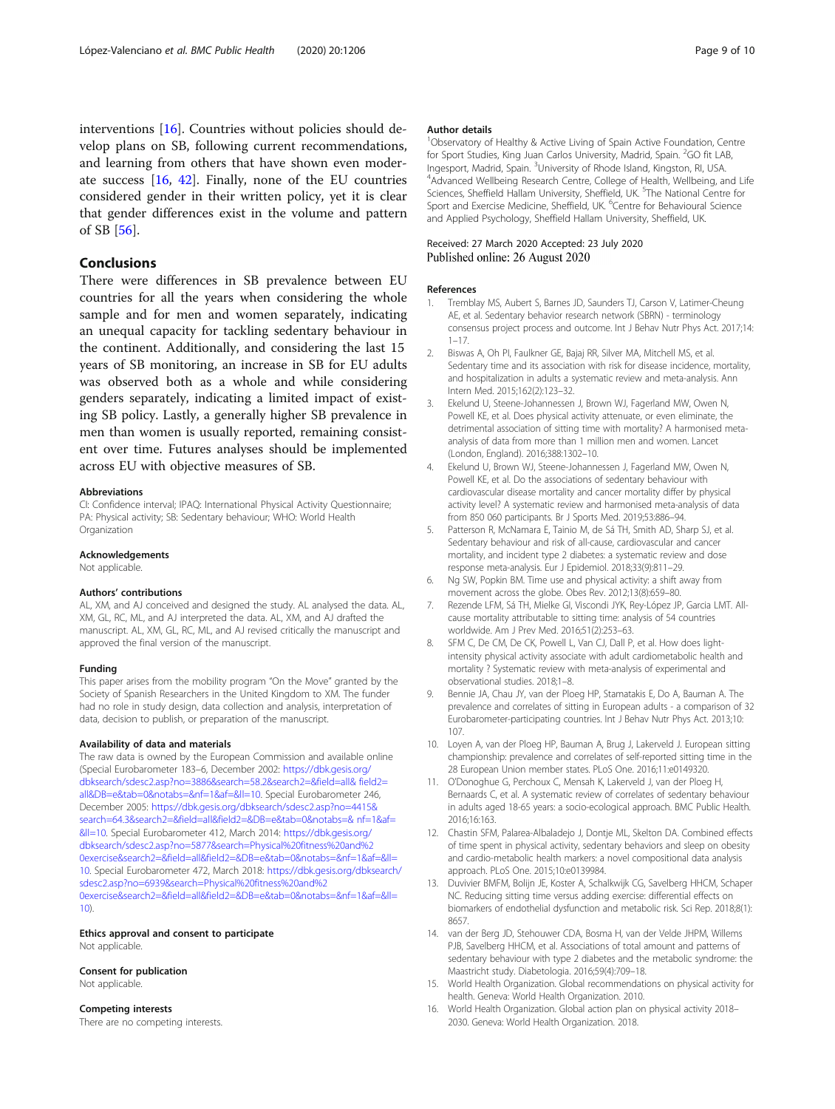<span id="page-8-0"></span>interventions [16]. Countries without policies should develop plans on SB, following current recommendations, and learning from others that have shown even moderate success [16, [42](#page-9-0)]. Finally, none of the EU countries considered gender in their written policy, yet it is clear that gender differences exist in the volume and pattern of SB [[56](#page-9-0)].

# Conclusions

There were differences in SB prevalence between EU countries for all the years when considering the whole sample and for men and women separately, indicating an unequal capacity for tackling sedentary behaviour in the continent. Additionally, and considering the last 15 years of SB monitoring, an increase in SB for EU adults was observed both as a whole and while considering genders separately, indicating a limited impact of existing SB policy. Lastly, a generally higher SB prevalence in men than women is usually reported, remaining consistent over time. Futures analyses should be implemented across EU with objective measures of SB.

#### Abbreviations

CI: Confidence interval; IPAQ: International Physical Activity Questionnaire; PA: Physical activity; SB: Sedentary behaviour; WHO: World Health **Organization** 

#### Acknowledgements

Not applicable.

#### Authors' contributions

AL, XM, and AJ conceived and designed the study. AL analysed the data. AL, XM, GL, RC, ML, and AJ interpreted the data. AL, XM, and AJ drafted the manuscript. AL, XM, GL, RC, ML, and AJ revised critically the manuscript and approved the final version of the manuscript.

#### Funding

This paper arises from the mobility program "On the Move" granted by the Society of Spanish Researchers in the United Kingdom to XM. The funder had no role in study design, data collection and analysis, interpretation of data, decision to publish, or preparation of the manuscript.

#### Availability of data and materials

The raw data is owned by the European Commission and available online (Special Eurobarometer 183–6, December 2002: [https://dbk.gesis.org/](https://dbk.gesis.org/%20dbksearch/sdesc2.asp?no=3886&search=58.2&search2=&field=all&%20field2=all&DB=e&tab=0¬abs=&nf=1&af=&ll=10) [dbksearch/sdesc2.asp?no=3886&search=58.2&search2=&field=all& field2=](https://dbk.gesis.org/%20dbksearch/sdesc2.asp?no=3886&search=58.2&search2=&field=all&%20field2=all&DB=e&tab=0¬abs=&nf=1&af=&ll=10) [all&DB=e&tab=0&notabs=&nf=1&af=&ll=10.](https://dbk.gesis.org/%20dbksearch/sdesc2.asp?no=3886&search=58.2&search2=&field=all&%20field2=all&DB=e&tab=0¬abs=&nf=1&af=&ll=10) Special Eurobarometer 246, December 2005: [https://dbk.gesis.org/dbksearch/sdesc2.asp?no=4415&](https://dbk.gesis.org/dbksearch/sdesc2.asp?no=4415&%20search=64.3&search2=&field=all&field2=&DB=e&tab=0¬abs=&%20nf=1&af=&ll=10) [search=64.3&search2=&field=all&field2=&DB=e&tab=0&notabs=& nf=1&af=](https://dbk.gesis.org/dbksearch/sdesc2.asp?no=4415&%20search=64.3&search2=&field=all&field2=&DB=e&tab=0¬abs=&%20nf=1&af=&ll=10) [&ll=10.](https://dbk.gesis.org/dbksearch/sdesc2.asp?no=4415&%20search=64.3&search2=&field=all&field2=&DB=e&tab=0¬abs=&%20nf=1&af=&ll=10) Special Eurobarometer 412, March 2014: [https://dbk.gesis.org/](https://dbk.gesis.org/dbksearch/sdesc2.asp?no=5877&search=Physical%20fitness%20and%20exercise&search2=&field=all&field2=&DB=e&tab=0¬abs=&nf=1&af=&ll=10) [dbksearch/sdesc2.asp?no=5877&search=Physical%20fitness%20and%2](https://dbk.gesis.org/dbksearch/sdesc2.asp?no=5877&search=Physical%20fitness%20and%20exercise&search2=&field=all&field2=&DB=e&tab=0¬abs=&nf=1&af=&ll=10) [0exercise&search2=&field=all&field2=&DB=e&tab=0&notabs=&nf=1&af=&ll=](https://dbk.gesis.org/dbksearch/sdesc2.asp?no=5877&search=Physical%20fitness%20and%20exercise&search2=&field=all&field2=&DB=e&tab=0¬abs=&nf=1&af=&ll=10) [10.](https://dbk.gesis.org/dbksearch/sdesc2.asp?no=5877&search=Physical%20fitness%20and%20exercise&search2=&field=all&field2=&DB=e&tab=0¬abs=&nf=1&af=&ll=10) Special Eurobarometer 472, March 2018: [https://dbk.gesis.org/dbksearch/](https://dbk.gesis.org/dbksearch/sdesc2.asp?no=6939&search=Physical%20fitness%20and%20exercise&search2=&field=all&field2=&DB=e&tab=0¬abs=&nf=1&af=&ll=10) [sdesc2.asp?no=6939&search=Physical%20fitness%20and%2](https://dbk.gesis.org/dbksearch/sdesc2.asp?no=6939&search=Physical%20fitness%20and%20exercise&search2=&field=all&field2=&DB=e&tab=0¬abs=&nf=1&af=&ll=10) [0exercise&search2=&field=all&field2=&DB=e&tab=0&notabs=&nf=1&af=&ll=](https://dbk.gesis.org/dbksearch/sdesc2.asp?no=6939&search=Physical%20fitness%20and%20exercise&search2=&field=all&field2=&DB=e&tab=0¬abs=&nf=1&af=&ll=10) [10\)](https://dbk.gesis.org/dbksearch/sdesc2.asp?no=6939&search=Physical%20fitness%20and%20exercise&search2=&field=all&field2=&DB=e&tab=0¬abs=&nf=1&af=&ll=10).

Ethics approval and consent to participate Not applicable.

#### Consent for publication Not applicable.

Competing interests

#### There are no competing interests.

#### Author details

<sup>1</sup>Observatory of Healthy & Active Living of Spain Active Foundation, Centre for Sport Studies, King Juan Carlos University, Madrid, Spain. <sup>2</sup>GO fit LAB, Ingesport, Madrid, Spain. <sup>3</sup>University of Rhode Island, Kingston, RI, USA.<br><sup>4</sup>Advanced Wellheing Besearch Centre, College of Health, Wellheing <sup>4</sup>Advanced Wellbeing Research Centre, College of Health, Wellbeing, and Life Sciences, Sheffield Hallam University, Sheffield, UK. <sup>5</sup>The National Centre for Sport and Exercise Medicine, Sheffield, UK. <sup>6</sup>Centre for Behavioural Science and Applied Psychology, Sheffield Hallam University, Sheffield, UK.

#### Received: 27 March 2020 Accepted: 23 July 2020 Published online: 26 August 2020

#### References

- Tremblay MS, Aubert S, Barnes JD, Saunders TJ, Carson V, Latimer-Cheung AE, et al. Sedentary behavior research network (SBRN) - terminology consensus project process and outcome. Int J Behav Nutr Phys Act. 2017;14: 1–17.
- 2. Biswas A, Oh PI, Faulkner GE, Bajaj RR, Silver MA, Mitchell MS, et al. Sedentary time and its association with risk for disease incidence, mortality, and hospitalization in adults a systematic review and meta-analysis. Ann Intern Med. 2015;162(2):123–32.
- Ekelund U, Steene-Johannessen J, Brown WJ, Fagerland MW, Owen N, Powell KE, et al. Does physical activity attenuate, or even eliminate, the detrimental association of sitting time with mortality? A harmonised metaanalysis of data from more than 1 million men and women. Lancet (London, England). 2016;388:1302–10.
- 4. Ekelund U, Brown WJ, Steene-Johannessen J, Fagerland MW, Owen N, Powell KE, et al. Do the associations of sedentary behaviour with cardiovascular disease mortality and cancer mortality differ by physical activity level? A systematic review and harmonised meta-analysis of data from 850 060 participants. Br J Sports Med. 2019;53:886–94.
- 5. Patterson R, McNamara E, Tainio M, de Sá TH, Smith AD, Sharp SJ, et al. Sedentary behaviour and risk of all-cause, cardiovascular and cancer mortality, and incident type 2 diabetes: a systematic review and dose response meta-analysis. Eur J Epidemiol. 2018;33(9):811–29.
- 6. Ng SW, Popkin BM. Time use and physical activity: a shift away from movement across the globe. Obes Rev. 2012;13(8):659–80.
- Rezende LFM, Sá TH, Mielke GI, Viscondi JYK, Rey-López JP, Garcia LMT. Allcause mortality attributable to sitting time: analysis of 54 countries worldwide. Am J Prev Med. 2016;51(2):253–63.
- SFM C, De CM, De CK, Powell L, Van CJ, Dall P, et al. How does lightintensity physical activity associate with adult cardiometabolic health and mortality ? Systematic review with meta-analysis of experimental and observational studies. 2018;1–8.
- 9. Bennie JA, Chau JY, van der Ploeg HP, Stamatakis E, Do A, Bauman A. The prevalence and correlates of sitting in European adults - a comparison of 32 Eurobarometer-participating countries. Int J Behav Nutr Phys Act. 2013;10: 107.
- 10. Loyen A, van der Ploeg HP, Bauman A, Brug J, Lakerveld J. European sitting championship: prevalence and correlates of self-reported sitting time in the 28 European Union member states. PLoS One. 2016;11:e0149320.
- 11. O'Donoghue G, Perchoux C, Mensah K, Lakerveld J, van der Ploeg H, Bernaards C, et al. A systematic review of correlates of sedentary behaviour in adults aged 18-65 years: a socio-ecological approach. BMC Public Health. 2016;16:163.
- 12. Chastin SFM, Palarea-Albaladejo J, Dontje ML, Skelton DA. Combined effects of time spent in physical activity, sedentary behaviors and sleep on obesity and cardio-metabolic health markers: a novel compositional data analysis approach. PLoS One. 2015;10:e0139984.
- 13. Duvivier BMFM, Bolijn JE, Koster A, Schalkwijk CG, Savelberg HHCM, Schaper NC. Reducing sitting time versus adding exercise: differential effects on biomarkers of endothelial dysfunction and metabolic risk. Sci Rep. 2018;8(1): 8657.
- 14. van der Berg JD, Stehouwer CDA, Bosma H, van der Velde JHPM, Willems PJB, Savelberg HHCM, et al. Associations of total amount and patterns of sedentary behaviour with type 2 diabetes and the metabolic syndrome: the Maastricht study. Diabetologia. 2016;59(4):709–18.
- 15. World Health Organization. Global recommendations on physical activity for health. Geneva: World Health Organization. 2010.
- 16. World Health Organization. Global action plan on physical activity 2018– 2030. Geneva: World Health Organization. 2018.